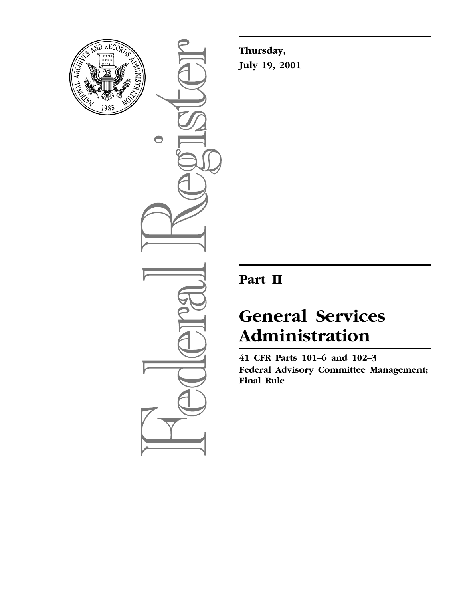

 $\bullet$ 

**Thursday, July 19, 2001**

# **Part II**

# **General Services Administration**

**41 CFR Parts 101–6 and 102–3 Federal Advisory Committee Management; Final Rule**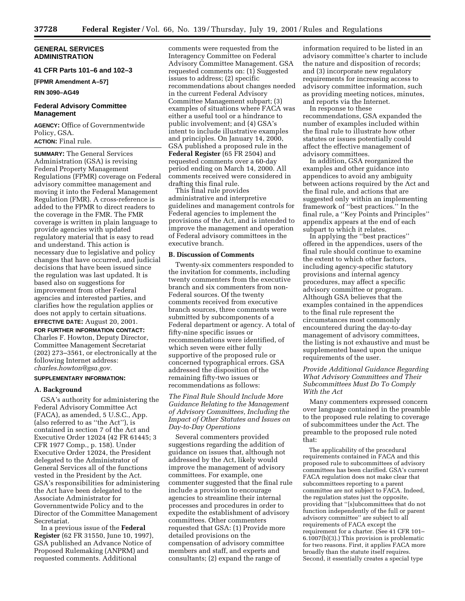#### **GENERAL SERVICES ADMINISTRATION**

**41 CFR Parts 101–6 and 102–3**

**[FPMR Amendment A–57]**

**RIN 3090–AG49**

#### **Federal Advisory Committee Management**

**AGENCY:** Office of Governmentwide Policy, GSA. **ACTION:** Final rule.

**SUMMARY:** The General Services Administration (GSA) is revising Federal Property Management Regulations (FPMR) coverage on Federal advisory committee management and moving it into the Federal Management Regulation (FMR). A cross-reference is added to the FPMR to direct readers to the coverage in the FMR. The FMR coverage is written in plain language to provide agencies with updated regulatory material that is easy to read and understand. This action is necessary due to legislative and policy changes that have occurred, and judicial decisions that have been issued since the regulation was last updated. It is based also on suggestions for improvement from other Federal agencies and interested parties, and clarifies how the regulation applies or does not apply to certain situations. **EFFECTIVE DATE:** August 20, 2001.

**FOR FURTHER INFORMATION CONTACT:** Charles F. Howton, Deputy Director, Committee Management Secretariat (202) 273–3561, or electronically at the following Internet address: *charles.howton@gsa.gov.*

#### **SUPPLEMENTARY INFORMATION:**

#### **A. Background**

GSA's authority for administering the Federal Advisory Committee Act (FACA), as amended, 5 U.S.C., App. (also referred to as ''the Act''), is contained in section 7 of the Act and Executive Order 12024 (42 FR 61445; 3 CFR 1977 Comp., p. 158). Under Executive Order 12024, the President delegated to the Administrator of General Services all of the functions vested in the President by the Act. GSA's responsibilities for administering the Act have been delegated to the Associate Administrator for Governmentwide Policy and to the Director of the Committee Management Secretariat.

In a previous issue of the **Federal Register** (62 FR 31550, June 10, 1997), GSA published an Advance Notice of Proposed Rulemaking (ANPRM) and requested comments. Additional

comments were requested from the Interagency Committee on Federal Advisory Committee Management. GSA requested comments on: (1) Suggested issues to address; (2) specific recommendations about changes needed in the current Federal Advisory Committee Management subpart; (3) examples of situations where FACA was either a useful tool or a hindrance to public involvement; and (4) GSA's intent to include illustrative examples and principles. On January 14, 2000, GSA published a proposed rule in the **Federal Register** (65 FR 2504) and requested comments over a 60-day period ending on March 14, 2000. All comments received were considered in drafting this final rule.

This final rule provides administrative and interpretive guidelines and management controls for Federal agencies to implement the provisions of the Act, and is intended to improve the management and operation of Federal advisory committees in the executive branch.

#### **B. Discussion of Comments**

Twenty-six commenters responded to the invitation for comments, including twenty commenters from the executive branch and six commenters from non-Federal sources. Of the twenty comments received from executive branch sources, three comments were submitted by subcomponents of a Federal department or agency. A total of fifty-nine specific issues or recommendations were identified, of which seven were either fully supportive of the proposed rule or concerned typographical errors. GSA addressed the disposition of the remaining fifty-two issues or recommendations as follows:

*The Final Rule Should Include More Guidance Relating to the Management of Advisory Committees, Including the Impact of Other Statutes and Issues on Day-to-Day Operations*

Several commenters provided suggestions regarding the addition of guidance on issues that, although not addressed by the Act, likely would improve the management of advisory committees. For example, one commenter suggested that the final rule include a provision to encourage agencies to streamline their internal processes and procedures in order to expedite the establishment of advisory committees. Other commenters requested that GSA: (1) Provide more detailed provisions on the compensation of advisory committee members and staff, and experts and consultants; (2) expand the range of

information required to be listed in an advisory committee's charter to include the nature and disposition of records; and (3) incorporate new regulatory requirements for increasing access to advisory committee information, such as providing meeting notices, minutes, and reports via the Internet.

In response to these recommendations, GSA expanded the number of examples included within the final rule to illustrate how other statutes or issues potentially could affect the effective management of advisory committees.

In addition, GSA reorganized the examples and other guidance into appendices to avoid any ambiguity between actions required by the Act and the final rule, and actions that are suggested only within an implementing framework of ''best practices.'' In the final rule, a ''Key Points and Principles'' appendix appears at the end of each subpart to which it relates.

In applying the ''best practices'' offered in the appendices, users of the final rule should continue to examine the extent to which other factors, including agency-specific statutory provisions and internal agency procedures, may affect a specific advisory committee or program. Although GSA believes that the examples contained in the appendices to the final rule represent the circumstances most commonly encountered during the day-to-day management of advisory committees, the listing is not exhaustive and must be supplemented based upon the unique requirements of the user.

#### *Provide Additional Guidance Regarding What Advisory Committees and Their Subcommittees Must Do To Comply With the Act*

Many commenters expressed concern over language contained in the preamble to the proposed rule relating to coverage of subcommittees under the Act. The preamble to the proposed rule noted that:

The applicability of the procedural requirements contained in FACA and this proposed rule to subcommittees of advisory committees has been clarified. GSA's current FACA regulation does not make clear that subcommittees reporting to a parent committee are not subject to FACA. Indeed, the regulation states just the opposite, providing that ''[s]ubcommittees that do not function independently of the full or parent advisory committee'' are subject to all requirements of FACA except the requirement for a charter. (See 41 CFR 101– 6.1007(b)(3).) This provision is problematic for two reasons. First, it applies FACA more broadly than the statute itself requires. Second, it essentially creates a special type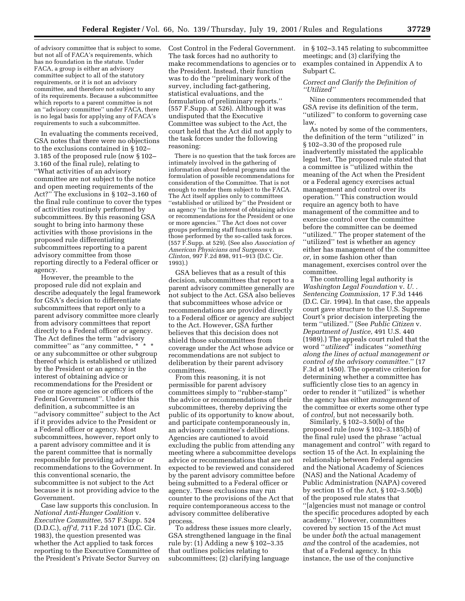of advisory committee that is subject to some, but not all of FACA's requirements, which has no foundation in the statute. Under FACA, a group is either an advisory committee subject to all of the statutory requirements, or it is not an advisory committee, and therefore not subject to any of its requirements. Because a subcommittee which reports to a parent committee is not an ''advisory committee'' under FACA, there is no legal basis for applying any of FACA's requirements to such a subcommittee.

In evaluating the comments received, GSA notes that there were no objections to the exclusions contained in § 102– 3.185 of the proposed rule (now § 102– 3.160 of the final rule), relating to ''What activities of an advisory committee are not subject to the notice and open meeting requirements of the Act?'' The exclusions in § 102–3.160 of the final rule continue to cover the types of activities routinely performed by subcommittees. By this reasoning GSA sought to bring into harmony these activities with those provisions in the proposed rule differentiating subcommittees reporting to a parent advisory committee from those reporting directly to a Federal officer or agency.

However, the preamble to the proposed rule did not explain and describe adequately the legal framework for GSA's decision to differentiate subcommittees that report only to a parent advisory committee more clearly from advisory committees that report directly to a Federal officer or agency. The Act defines the term ''advisory committee" as "any committee, \* \* or any subcommittee or other subgroup thereof which is established or utilized by the President or an agency in the interest of obtaining advice or recommendations for the President or one or more agencies or officers of the Federal Government''. Under this definition, a subcommittee is an ''advisory committee'' subject to the Act if it provides advice to the President or a Federal officer or agency. Most subcommittees, however, report only to a parent advisory committee and it is the parent committee that is normally responsible for providing advice or recommendations to the Government. In this conventional scenario, the subcommittee is not subject to the Act because it is not providing advice to the Government.

Case law supports this conclusion. In *National Anti-Hunger Coalition* v. *Executive Committee,* 557 F.Supp. 524 (D.D.C.), *aff'd,* 711 F.2d 1071 (D.C. Cir. 1983), the question presented was whether the Act applied to task forces reporting to the Executive Committee of the President's Private Sector Survey on

Cost Control in the Federal Government. The task forces had no authority to make recommendations to agencies or to the President. Instead, their function was to do the ''preliminary work of the survey, including fact-gathering, statistical evaluations, and the formulation of preliminary reports.'' (557 F.Supp. at 526). Although it was undisputed that the Executive Committee was subject to the Act, the court held that the Act did not apply to the task forces under the following reasoning:

There is no question that the task forces are intimately involved in the gathering of information about federal programs and the formulation of possible recommendations for consideration of the Committee. That is not enough to render them subject to the FACA. The Act itself applies only to committees ''established or utilized by'' the President or an agency ''in the interest of obtaining advice or recommendations for the President or one or more agencies.'' The Act does not cover groups performing staff functions such as those performed by the so-called task forces. (557 F.Supp. at 529). (See also *Association of American Physicians and Surgeons* v. *Clinton,* 997 F.2d 898, 911–913 (D.C. Cir. 1993).)

GSA believes that as a result of this decision, subcommittees that report to a parent advisory committee generally are not subject to the Act. GSA also believes that subcommittees whose advice or recommendations are provided directly to a Federal officer or agency are subject to the Act. However, GSA further believes that this decision does not shield those subcommittees from coverage under the Act whose advice or recommendations are not subject to deliberation by their parent advisory committees.

From this reasoning, it is not permissible for parent advisory committees simply to ''rubber-stamp'' the advice or recommendations of their subcommittees, thereby depriving the public of its opportunity to know about, and participate contemporaneously in, an advisory committee's deliberations. Agencies are cautioned to avoid excluding the public from attending any meeting where a subcommittee develops advice or recommendations that are not expected to be reviewed and considered by the parent advisory committee before being submitted to a Federal officer or agency. These exclusions may run counter to the provisions of the Act that require contemporaneous access to the advisory committee deliberative process.

To address these issues more clearly, GSA strengthened language in the final rule by: (1) Adding a new § 102–3.35 that outlines policies relating to subcommittees; (2) clarifying language

in § 102–3.145 relating to subcommittee meetings; and (3) clarifying the examples contained in Appendix A to Subpart C.

#### *Correct and Clarify the Definition of ''Utilized''*

Nine commenters recommended that GSA revise its definition of the term, ''utilized'' to conform to governing case law.

As noted by some of the commenters, the definition of the term ''utilized'' in § 102–3.30 of the proposed rule inadvertently misstated the applicable legal test. The proposed rule stated that a committee is ''utilized within the meaning of the Act when the President or a Federal agency exercises actual management and control over its operation.'' This construction would require an agency both to have management of the committee and to exercise control over the committee before the committee can be deemed ''utilized.'' The proper statement of the ''utilized'' test is whether an agency either has management of the committee *or,* in some fashion other than management, exercises control over the committee.

The controlling legal authority is *Washington Legal Foundation* v. *U. . Sentencing Commission,* 17 F.3d 1446 (D.C. Cir. 1994). In that case, the appeals court gave structure to the U.S. Supreme Court's prior decision interpreting the term ''utilized.'' (See *Public Citizen* v. *Department of Justice,* 491 U.S. 440 (1989).) The appeals court ruled that the word ''*utilized*'' indicates ''*something along the lines of actual management or control of the advisory committee.*'' (17 F.3d at 1450). The operative criterion for determining whether a committee has sufficiently close ties to an agency in order to render it ''utilized'' is whether the agency has either *management* of the committee or exerts some other type of *control,* but not necessarily both.

Similarly, § 102–3.50(b) of the proposed rule (now § 102–3.185(b) of the final rule) used the phrase ''actual management and control'' with regard to section 15 of the Act. In explaining the relationship between Federal agencies and the National Academy of Sciences (NAS) and the National Academy of Public Administration (NAPA) covered by section 15 of the Act, § 102–3.50(b) of the proposed rule states that ''[a]gencies must not manage or control the specific procedures adopted by each academy.'' However, committees covered by section 15 of the Act must be under *both* the actual management *and* the control of the academies, not that of a Federal agency. In this instance, the use of the conjunctive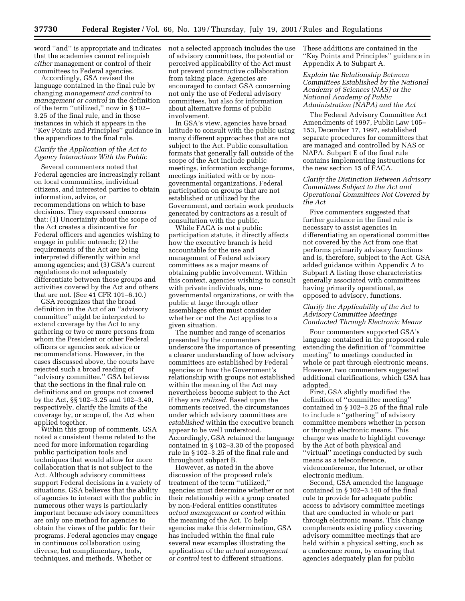word ''and'' is appropriate and indicates that the academies cannot relinquish *either* management or control of their committees to Federal agencies.

Accordingly, GSA revised the language contained in the final rule by changing *management and control* to *management or control* in the definition of the term ''utilized,'' now in § 102– 3.25 of the final rule, and in those instances in which it appears in the ''Key Points and Principles'' guidance in the appendices to the final rule.

#### *Clarify the Application of the Act to Agency Interactions With the Public*

Several commenters noted that Federal agencies are increasingly reliant on local communities, individual citizens, and interested parties to obtain information, advice, or recommendations on which to base decisions. They expressed concerns that: (1) Uncertainty about the scope of the Act creates a disincentive for Federal officers and agencies wishing to engage in public outreach; (2) the requirements of the Act are being interpreted differently within and among agencies; and (3) GSA's current regulations do not adequately differentiate between those groups and activities covered by the Act and others that are not. (See 41 CFR 101–6.10.)

GSA recognizes that the broad definition in the Act of an ''advisory committee'' might be interpreted to extend coverage by the Act to any gathering or two or more persons from whom the President or other Federal officers or agencies seek advice or recommendations. However, in the cases discussed above, the courts have rejected such a broad reading of ''advisory committee.'' GSA believes that the sections in the final rule on definitions and on groups not covered by the Act, §§ 102–3.25 and 102–3.40, respectively, clarify the limits of the coverage by, or scope of, the Act when applied together.

Within this group of comments, GSA noted a consistent theme related to the need for more information regarding public participation tools and techniques that would allow for more collaboration that is not subject to the Act. Although advisory committees support Federal decisions in a variety of situations, GSA believes that the ability of agencies to interact with the public in numerous other ways is particularly important because advisory committees are only one method for agencies to obtain the views of the public for their programs. Federal agencies may engage in continuous collaboration using diverse, but complimentary, tools, techniques, and methods. Whether or

not a selected approach includes the use of advisory committees, the potential or perceived applicability of the Act must not prevent constructive collaboration from taking place. Agencies are encouraged to contact GSA concerning not only the use of Federal advisory committees, but also for information about alternative forms of public involvement.

In GSA's view, agencies have broad latitude to consult with the public using many different approaches that are not subject to the Act. Public consultation formats that generally fall outside of the scope of the Act include public meetings, information exchange forums, meetings initiated with or by nongovernmental organizations, Federal participation on groups that are not established or utilized by the Government, and certain work products generated by contractors as a result of consultation with the public.

While FACA is not a public participation statute, it directly affects how the executive branch is held accountable for the use and management of Federal advisory committees as a major means of obtaining public involvement. Within this context, agencies wishing to consult with private individuals, nongovernmental organizations, or with the public at large through other assemblages often must consider whether or not the Act applies to a given situation.

The number and range of scenarios presented by the commenters underscore the importance of presenting a clearer understanding of how advisory committees are established by Federal agencies or how the Government's relationship with groups not established within the meaning of the Act may nevertheless become subject to the Act if they are *utilized.* Based upon the comments received, the circumstances under which advisory committees are *established* within the executive branch appear to be well understood. Accordingly, GSA retained the language contained in § 102–3.30 of the proposed rule in § 102–3.25 of the final rule and throughout subpart B.

However, as noted in the above discussion of the proposed rule's treatment of the term ''utilized,'' agencies must determine whether or not their relationship with a group created by non-Federal entities constitutes *actual management or control* within the meaning of the Act. To help agencies make this determination, GSA has included within the final rule several new examples illustrating the application of the *actual management or control* test to different situations.

These additions are contained in the ''Key Points and Principles'' guidance in Appendix A to Subpart A.

*Explain the Relationship Between Committees Established by the National Academy of Sciences (NAS) or the National Academy of Public Administration (NAPA) and the Act*

The Federal Advisory Committee Act Amendments of 1997, Public Law 105– 153, December 17, 1997, established separate procedures for committees that are managed and controlled by NAS or NAPA. Subpart E of the final rule contains implementing instructions for the new section 15 of FACA.

#### *Clarify the Distinction Between Advisory Committees Subject to the Act and Operational Committees Not Covered by the Act*

Five commenters suggested that further guidance in the final rule is necessary to assist agencies in differentiating an operational committee not covered by the Act from one that performs primarily advisory functions and is, therefore, subject to the Act. GSA added guidance within Appendix A to Subpart A listing those characteristics generally associated with committees having primarily operational, as opposed to advisory, functions.

#### *Clarify the Applicability of the Act to Advisory Committee Meetings Conducted Through Electronic Means*

Four commenters supported GSA's language contained in the proposed rule extending the definition of ''committee meeting'' to meetings conducted in whole or part through electronic means. However, two commenters suggested additional clarifications, which GSA has adopted.

First, GSA slightly modified the definition of ''committee meeting'' contained in § 102–3.25 of the final rule to include a ''gathering'' of advisory committee members whether in person or through electronic means. This change was made to highlight coverage by the Act of both physical and ''virtual'' meetings conducted by such means as a teleconference, videoconference, the Internet, or other electronic medium.

Second, GSA amended the language contained in § 102–3.140 of the final rule to provide for adequate public access to advisory committee meetings that are conducted in whole or part through electronic means. This change complements existing policy covering advisory committee meetings that are held within a physical setting, such as a conference room, by ensuring that agencies adequately plan for public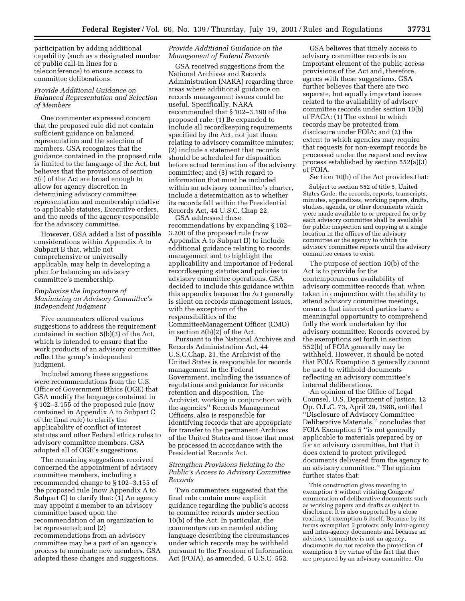participation by adding additional capability (such as a designated number of public call-in lines for a teleconference) to ensure access to committee deliberations.

#### *Provide Additional Guidance on Balanced Representation and Selection of Members*

One commenter expressed concern that the proposed rule did not contain sufficient guidance on balanced representation and the selection of members. GSA recognizes that the guidance contained in the proposed rule is limited to the language of the Act, but believes that the provisions of section 5(c) of the Act are broad enough to allow for agency discretion in determining advisory committee representation and membership relative to applicable statutes, Executive orders, and the needs of the agency responsible for the advisory committee.

However, GSA added a list of possible considerations within Appendix A to Subpart B that, while not comprehensive or universally applicable, may help in developing a plan for balancing an advisory committee's membership.

#### *Emphasize the Importance of Maximizing an Advisory Committee's Independent Judgment*

Five commenters offered various suggestions to address the requirement contained in section 5(b)(3) of the Act, which is intended to ensure that the work products of an advisory committee reflect the group's independent judgment.

Included among these suggestions were recommendations from the U.S. Office of Government Ethics (OGE) that GSA modify the language contained in § 102–3.155 of the proposed rule (now contained in Appendix A to Subpart C of the final rule) to clarify the applicability of conflict of interest statutes and other Federal ethics rules to advisory committee members. GSA adopted all of OGE's suggestions.

The remaining suggestions received concerned the appointment of advisory committee members, including a recommended change to § 102–3.155 of the proposed rule (now Appendix A to Subpart C) to clarify that: (1) An agency may appoint a member to an advisory committee based upon the recommendation of an organization to be represented; and (2) recommendations from an advisory committee may be a part of an agency's process to nominate new members. GSA adopted these changes and suggestions.

#### *Provide Additional Guidance on the Management of Federal Records*

GSA received suggestions from the National Archives and Records Administration (NARA) regarding three areas where additional guidance on records management issues could be useful. Specifically, NARA recommended that § 102–3.190 of the proposed rule: (1) Be expanded to include all recordkeeping requirements specified by the Act, not just those relating to advisory committee minutes; (2) include a statement that records should be scheduled for disposition before actual termination of the advisory committee; and (3) with regard to information that must be included within an advisory committee's charter, include a determination as to whether its records fall within the Presidential Records Act, 44 U.S.C. Chap 22.

GSA addressed these recommendations by expanding § 102– 3.200 of the proposed rule (now Appendix A to Subpart D) to include additional guidance relating to records management and to highlight the applicability and importance of Federal recordkeeping statutes and policies to advisory committee operations. GSA decided to include this guidance within this appendix because the Act generally is silent on records management issues, with the exception of the responsibilities of the CommitteeManagement Officer (CMO) in section 8(b)(2) of the Act.

Pursuant to the National Archives and Records Administration Act, 44 U.S.C.Chap. 21, the Archivist of the United States is responsible for records management in the Federal Government, including the issuance of regulations and guidance for records retention and disposition. The Archivist, working in conjunction with the agencies'' Records Management Officers, also is responsible for identifying records that are appropriate for transfer to the permanent Archives of the United States and those that must be processed in accordance with the Presidential Records Act.

#### *Strengthen Provisions Relating to the Public's Access to Advisory Committee Records*

Two commenters suggested that the final rule contain more explicit guidance regarding the public's access to committee records under section 10(b) of the Act. In particular, the commenters recommended adding language describing the circumstances under which records may be withheld pursuant to the Freedom of Information Act (FOIA), as amended, 5 U.S.C. 552.

GSA believes that timely access to advisory committee records is an important element of the public access provisions of the Act and, therefore, agrees with these suggestions. GSA further believes that there are two separate, but equally important issues related to the availability of advisory committee records under section 10(b) of FACA: (1) The extent to which records may be protected from disclosure under FOIA; and (2) the extent to which agencies may require that requests for non-exempt records be processed under the request and review process established by section 552(a)(3) of FOIA.

Section 10(b) of the Act provides that:

Subject to section 552 of title 5, United States Code, the records, reports, transcripts, minutes, appendixes, working papers, drafts, studies, agenda, or other documents which were made available to or prepared for or by each advisory committee shall be available for public inspection and copying at a single location in the offices of the advisory committee or the agency to which the advisory committee reports until the advisory committee ceases to exist.

The purpose of section 10(b) of the Act is to provide for the contemporaneous availability of advisory committee records that, when taken in conjunction with the ability to attend advisory committee meetings, ensures that interested parties have a meaningful opportunity to comprehend fully the work undertaken by the advisory committee. Records covered by the exemptions set forth in section 552(b) of FOIA generally may be withheld. However, it should be noted that FOIA Exemption 5 generally cannot be used to withhold documents reflecting an advisory committee's internal deliberations.

An opinion of the Office of Legal Counsel, U.S. Department of Justice, 12 Op. O.L.C. 73, April 29, 1988, entitled ''Disclosure of Advisory Committee Deliberative Materials,'' concludes that FOIA Exemption 5 "is not generally applicable to materials prepared by or for an advisory committee, but that it does extend to protect privileged documents delivered from the agency to an advisory committee.'' The opinion further states that:

This construction gives meaning to exemption 5 without vitiating Congress' enumeration of deliberative documents such as working papers and drafts as subject to disclosure. It is also supported by a close reading of exemption 5 itself. Because by its terms exemption 5 protects only inter-agency and intra-agency documents and because an advisory committee is not an agency, documents do not receive the protection of exemption 5 by virtue of the fact that they are prepared by an advisory committee. On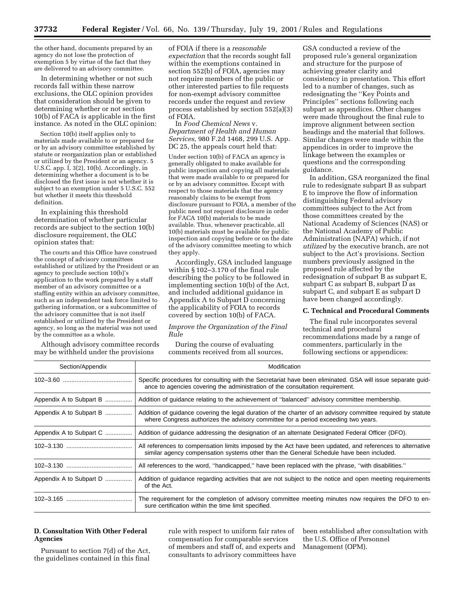the other hand, documents prepared by an agency do not lose the protection of exemption 5 by virtue of the fact that they are delivered to an advisory committee.

In determining whether or not such records fall within these narrow exclusions, the OLC opinion provides that consideration should be given to determining whether or not section 10(b) of FACA is applicable in the first instance. As noted in the OLC opinion:

Section 10(b) itself applies only to materials made available to or prepared for or by an advisory committee established by statute or reorganization plan or established or utilized by the President or an agency. 5 U.S.C. app. I, 3(2), 10(b). Accordingly, in determining whether a document is to be disclosed the first issue is not whether it is subject to an exemption under 5 U.S.C. 552 but whether it meets this threshold definition.

In explaining this threshold determination of whether particular records are subject to the section 10(b) disclosure requirement, the OLC opinion states that:

The courts and this Office have construed the concept of advisory committees established or utilized by the President or an agency to preclude section 10(b)'s application to the work prepared by a staff member of an advisory committee or a staffing entity within an advisory committee, such as an independent task force limited to gathering information, or a subcommittee of the advisory committee that is not itself established or utilized by the President or agency, so long as the material was not used by the committee as a whole.

Although advisory committee records may be withheld under the provisions

of FOIA if there is a *reasonable expectation* that the records sought fall within the exemptions contained in section 552(b) of FOIA, agencies may not require members of the public or other interested parties to file requests for non-exempt advisory committee records under the request and review process established by section 552(a)(3) of FOIA.

In *Food Chemical News* v. *Department of Health and Human Services,* 980 F.2d 1468, 299 U.S. App. DC 25, the appeals court held that:

Under section 10(b) of FACA an agency is generally obligated to make available for public inspection and copying all materials that were made available to or prepared for or by an advisory committee. Except with respect to those materials that the agency reasonably claims to be exempt from disclosure pursuant to FOIA, a member of the public need not request disclosure in order for FACA 10(b) materials to be made available. Thus, whenever practicable, all 10(b) materials must be available for public inspection and copying before or on the date of the advisory committee meeting to which they apply.

Accordingly, GSA included language within § 102–3.170 of the final rule describing the policy to be followed in implementing section 10(b) of the Act, and included additional guidance in Appendix A to Subpart D concerning the applicability of FOIA to records covered by section 10(b) of FACA.

*Improve the Organization of the Final Rule*

During the course of evaluating comments received from all sources, GSA conducted a review of the proposed rule's general organization and structure for the purpose of achieving greater clarity and consistency in presentation. This effort led to a number of changes, such as redesignating the ''Key Points and Principles'' sections following each subpart as appendices. Other changes were made throughout the final rule to improve alignment between section headings and the material that follows. Similar changes were made within the appendices in order to improve the linkage between the examples or questions and the corresponding guidance.

In addition, GSA reorganized the final rule to redesignate subpart B as subpart E to improve the flow of information distinguishing Federal advisory committees subject to the Act from those committees created by the National Academy of Sciences (NAS) or the National Academy of Public Administration (NAPA) which, if not *utilized* by the executive branch, are not subject to the Act's provisions. Section numbers previously assigned in the proposed rule affected by the redesignation of subpart B as subpart E, subpart C as subpart B, subpart D as subpart C, and subpart E as subpart D have been changed accordingly.

#### **C. Technical and Procedural Comments**

The final rule incorporates several technical and procedural recommendations made by a range of commenters, particularly in the following sections or appendices:

| Section/Appendix        | Modification                                                                                                                                                                                         |
|-------------------------|------------------------------------------------------------------------------------------------------------------------------------------------------------------------------------------------------|
|                         | Specific procedures for consulting with the Secretariat have been eliminated. GSA will issue separate quid-<br>ance to agencies covering the administration of the consultation requirement.         |
| Appendix A to Subpart B | Addition of guidance relating to the achievement of "balanced" advisory committee membership.                                                                                                        |
| Appendix A to Subpart B | Addition of quidance covering the legal duration of the charter of an advisory committee required by statute<br>where Congress authorizes the advisory committee for a period exceeding two years.   |
| Appendix A to Subpart C | Addition of guidance addressing the designation of an alternate Designated Federal Officer (DFO).                                                                                                    |
|                         | All references to compensation limits imposed by the Act have been updated, and references to alternative<br>similar agency compensation systems other than the General Schedule have been included. |
|                         | "All references to the word, "handicapped," have been replaced with the phrase, "with disabilities."                                                                                                 |
| Appendix A to Subpart D | Addition of guidance regarding activities that are not subject to the notice and open meeting requirements<br>of the Act.                                                                            |
|                         | The requirement for the completion of advisory committee meeting minutes now requires the DFO to en-<br>sure certification within the time limit specified.                                          |

# **D. Consultation With Other Federal Agencies**

Pursuant to section 7(d) of the Act, the guidelines contained in this final rule with respect to uniform fair rates of compensation for comparable services of members and staff of, and experts and consultants to advisory committees have been established after consultation with the U.S. Office of Personnel Management (OPM).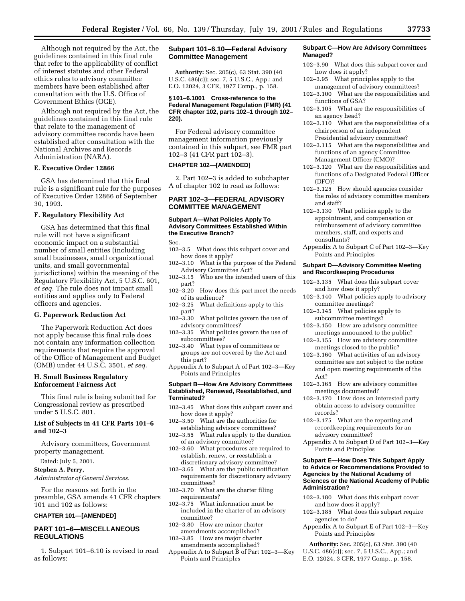Although not required by the Act, the guidelines contained in this final rule that refer to the applicability of conflict of interest statutes and other Federal ethics rules to advisory committee members have been established after consultation with the U.S. Office of Government Ethics (OGE).

Although not required by the Act, the guidelines contained in this final rule that relate to the management of advisory committee records have been established after consultation with the National Archives and Records Administration (NARA).

#### **E. Executive Order 12866**

GSA has determined that this final rule is a significant rule for the purposes of Executive Order 12866 of September 30, 1993.

#### **F. Regulatory Flexibility Act**

GSA has determined that this final rule will not have a significant economic impact on a substantial number of small entities (including small businesses, small organizational units, and small governmental jurisdictions) within the meaning of the Regulatory Flexibility Act, 5 U.S.C. 601, *et seq.* The rule does not impact small entities and applies only to Federal officers and agencies.

#### **G. Paperwork Reduction Act**

The Paperwork Reduction Act does not apply because this final rule does not contain any information collection requirements that require the approval of the Office of Management and Budget (OMB) under 44 U.S.C. 3501, *et seq.*

#### **H. Small Business Regulatory Enforcement Fairness Act**

This final rule is being submitted for Congressional review as prescribed under 5 U.S.C. 801.

#### **List of Subjects in 41 CFR Parts 101–6 and 102–3**

Advisory committees, Government property management.

#### Dated: July 5, 2001.

#### **Stephen A. Perry,**

*Administrator of General Services.*

For the reasons set forth in the preamble, GSA amends 41 CFR chapters 101 and 102 as follows:

#### **CHAPTER 101—[AMENDED]**

#### **PART 101–6—MISCELLANEOUS REGULATIONS**

1. Subpart 101–6.10 is revised to read as follows:

#### **Subpart 101–6.10—Federal Advisory Committee Management**

**Authority:** Sec. 205(c), 63 Stat. 390 (40 U.S.C. 486(c)); sec. 7, 5 U.S.C., App.; and E.O. 12024, 3 CFR, 1977 Comp., p. 158.

#### **§ 101–6.1001 Cross-reference to the Federal Management Regulation (FMR) (41 CFR chapter 102, parts 102–1 through 102– 220).**

For Federal advisory committee management information previously contained in this subpart, see FMR part 102–3 (41 CFR part 102–3).

#### **CHAPTER 102—[AMENDED]**

2. Part 102–3 is added to subchapter A of chapter 102 to read as follows:

#### **PART 102–3—FEDERAL ADVISORY COMMITTEE MANAGEMENT**

#### **Subpart A—What Policies Apply To Advisory Committees Established Within the Executive Branch?**

Sec.

- 102–3.5 What does this subpart cover and how does it apply?
- 102–3.10 What is the purpose of the Federal Advisory Committee Act?
- 102–3.15 Who are the intended users of this part?
- 102–3.20 How does this part meet the needs of its audience?<br>102–3.25 What def
- What definitions apply to this part?
- 102–3.30 What policies govern the use of advisory committees?
- 102–3.35 What policies govern the use of subcommittees?
- 102–3.40 What types of committees or groups are not covered by the Act and this part?
- Appendix A to Subpart A of Part 102–3—Key Points and Principles

#### **Subpart B—How Are Advisory Committees Established, Renewed, Reestablished, and Terminated?**

- 102–3.45 What does this subpart cover and how does it apply?
- 102–3.50 What are the authorities for establishing advisory committees?
- 102–3.55 What rules apply to the duration of an advisory committee?
- 102–3.60 What procedures are required to establish, renew, or reestablish a discretionary advisory committee?
- 102–3.65 What are the public notification requirements for discretionary advisory committees?
- 102–3.70 What are the charter filing requirements?
- 102–3.75 What information must be included in the charter of an advisory committee?
- 102–3.80 How are minor charter amendments accomplished?
- 102–3.85 How are major charter amendments accomplished?
- Appendix A to Subpart B of Part 102–3—Key Points and Principles

#### **Subpart C—How Are Advisory Committees Managed?**

- 102–3.90 What does this subpart cover and how does it apply?
- 102–3.95 What principles apply to the management of advisory committees?
- 102–3.100 What are the responsibilities and functions of GSA?
- 102–3.105 What are the responsibilities of an agency head?
- 102–3.110 What are the responsibilities of a chairperson of an independent Presidential advisory committee?
- 102–3.115 What are the responsibilities and functions of an agency Committee Management Officer (CMO)?
- 102–3.120 What are the responsibilities and functions of a Designated Federal Officer (DFO)?
- 102–3.125 How should agencies consider the roles of advisory committee members and staff?
- 102–3.130 What policies apply to the appointment, and compensation or reimbursement of advisory committee members, staff, and experts and consultants?
- Appendix A to Subpart C of Part 102–3—Key Points and Principles

#### **Subpart D—Advisory Committee Meeting and Recordkeeping Procedures**

- 102–3.135 What does this subpart cover and how does it apply?
- 102–3.140 What policies apply to advisory committee meetings?
- 102–3.145 What policies apply to subcommittee meetings?
- 102–3.150 How are advisory committee meetings announced to the public?
- 102–3.155 How are advisory committee meetings closed to the public?
- 102–3.160 What activities of an advisory committee are not subject to the notice and open meeting requirements of the Act?
- 102–3.165 How are advisory committee meetings documented?
- 102–3.170 How does an interested party obtain access to advisory committee records?
- 102–3.175 What are the reporting and recordkeeping requirements for an advisory committee?
- Appendix A to Subpart D of Part 102–3—Key Points and Principles

#### **Subpart E—How Does This Subpart Apply to Advice or Recommendations Provided to Agencies by the National Academy of Sciences or the National Academy of Public Administration?**

- 102–3.180 What does this subpart cover and how does it apply?
- 102–3.185 What does this subpart require agencies to do?
- Appendix A to Subpart E of Part 102–3—Key Points and Principles
- **Authority:** Sec. 205(c), 63 Stat. 390 (40 U.S.C. 486(c)); sec. 7, 5 U.S.C., App.; and
- E.O. 12024, 3 CFR, 1977 Comp., p. 158.
-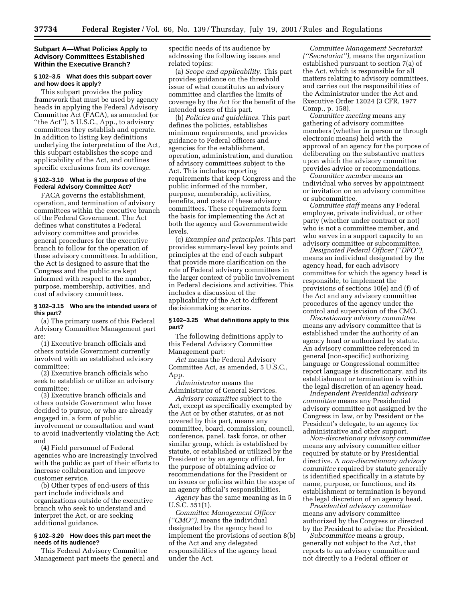#### **Subpart A—What Policies Apply to Advisory Committees Established Within the Executive Branch?**

#### **§ 102–3.5 What does this subpart cover and how does it apply?**

This subpart provides the policy framework that must be used by agency heads in applying the Federal Advisory Committee Act (FACA), as amended (or ''the Act''), 5 U.S.C., App., to advisory committees they establish and operate. In addition to listing key definitions underlying the interpretation of the Act, this subpart establishes the scope and applicability of the Act, and outlines specific exclusions from its coverage.

#### **§ 102–3.10 What is the purpose of the Federal Advisory Committee Act?**

FACA governs the establishment, operation, and termination of advisory committees within the executive branch of the Federal Government. The Act defines what constitutes a Federal advisory committee and provides general procedures for the executive branch to follow for the operation of these advisory committees. In addition, the Act is designed to assure that the Congress and the public are kept informed with respect to the number, purpose, membership, activities, and cost of advisory committees.

#### **§ 102–3.15 Who are the intended users of this part?**

(a) The primary users of this Federal Advisory Committee Management part are:

(1) Executive branch officials and others outside Government currently involved with an established advisory committee;

(2) Executive branch officials who seek to establish or utilize an advisory committee;

(3) Executive branch officials and others outside Government who have decided to pursue, or who are already engaged in, a form of public involvement or consultation and want to avoid inadvertently violating the Act; and

(4) Field personnel of Federal agencies who are increasingly involved with the public as part of their efforts to increase collaboration and improve customer service.

(b) Other types of end-users of this part include individuals and organizations outside of the executive branch who seek to understand and interpret the Act, or are seeking additional guidance.

#### **§ 102–3.20 How does this part meet the needs of its audience?**

This Federal Advisory Committee Management part meets the general and specific needs of its audience by addressing the following issues and related topics:

(a) *Scope and applicability.* This part provides guidance on the threshold issue of what constitutes an advisory committee and clarifies the limits of coverage by the Act for the benefit of the intended users of this part.

(b) *Policies and guidelines.* This part defines the policies, establishes minimum requirements, and provides guidance to Federal officers and agencies for the establishment, operation, administration, and duration of advisory committees subject to the Act. This includes reporting requirements that keep Congress and the public informed of the number, purpose, membership, activities, benefits, and costs of these advisory committees. These requirements form the basis for implementing the Act at both the agency and Governmentwide levels.

(c) *Examples and principles.* This part provides summary-level key points and principles at the end of each subpart that provide more clarification on the role of Federal advisory committees in the larger context of public involvement in Federal decisions and activities. This includes a discussion of the applicability of the Act to different decisionmaking scenarios.

#### **§ 102–3.25 What definitions apply to this part?**

The following definitions apply to this Federal Advisory Committee Management part:

*Act* means the Federal Advisory Committee Act, as amended, 5 U.S.C., App.

*Administrator* means the Administrator of General Services.

*Advisory committee* subject to the Act, except as specifically exempted by the Act or by other statutes, or as not covered by this part, means any committee, board, commission, council, conference, panel, task force, or other similar group, which is established by statute, or established or utilized by the President or by an agency official, for the purpose of obtaining advice or recommendations for the President or on issues or policies within the scope of an agency official's responsibilities.

*Agency* has the same meaning as in 5 U.S.C. 551(1).

*Committee Management Officer (''CMO''),* means the individual designated by the agency head to implement the provisions of section 8(b) of the Act and any delegated responsibilities of the agency head under the Act.

*Committee Management Secretariat (''Secretariat''),* means the organization established pursuant to section 7(a) of the Act, which is responsible for all matters relating to advisory committees, and carries out the responsibilities of the Administrator under the Act and Executive Order 12024 (3 CFR, 1977 Comp., p. 158).

*Committee meeting* means any gathering of advisory committee members (whether in person or through electronic means) held with the approval of an agency for the purpose of deliberating on the substantive matters upon which the advisory committee provides advice or recommendations.

*Committee member* means an individual who serves by appointment or invitation on an advisory committee or subcommittee.

*Committee staff* means any Federal employee, private individual, or other party (whether under contract or not) who is not a committee member, and who serves in a support capacity to an advisory committee or subcommittee.

*Designated Federal Officer (''DFO''),* means an individual designated by the agency head, for each advisory committee for which the agency head is responsible, to implement the provisions of sections 10(e) and (f) of the Act and any advisory committee procedures of the agency under the control and supervision of the CMO.

*Discretionary advisory committee* means any advisory committee that is established under the authority of an agency head or authorized by statute. An advisory committee referenced in general (non-specific) authorizing language or Congressional committee report language is discretionary, and its establishment or termination is within the legal discretion of an agency head.

*Independent Presidential advisory committee* means any Presidential advisory committee not assigned by the Congress in law, or by President or the President's delegate, to an agency for administrative and other support.

*Non-discretionary advisory committee* means any advisory committee either required by statute or by Presidential directive. A *non-discretionary advisory committee* required by statute generally is identified specifically in a statute by name, purpose, or functions, and its establishment or termination is beyond the legal discretion of an agency head.

*Presidential advisory committee* means any advisory committee authorized by the Congress or directed by the President to advise the President.

*Subcommittee* means a group, generally not subject to the Act, that reports to an advisory committee and not directly to a Federal officer or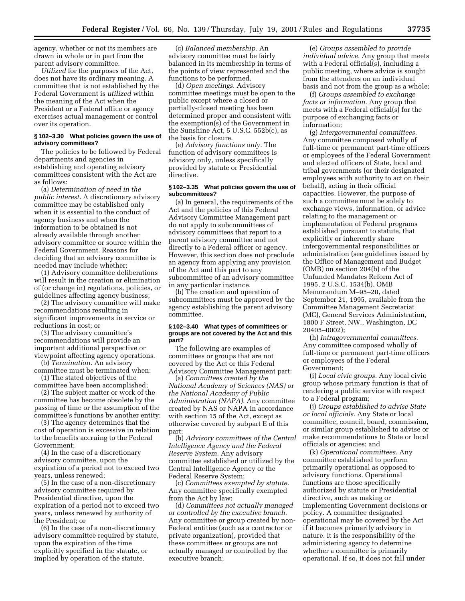agency, whether or not its members are drawn in whole or in part from the parent advisory committee.

*Utilized* for the purposes of the Act, does not have its ordinary meaning. A committee that is not established by the Federal Government is *utilized* within the meaning of the Act when the President or a Federal office or agency exercises actual management or control over its operation.

#### **§ 102–3.30 What policies govern the use of advisory committees?**

The policies to be followed by Federal departments and agencies in establishing and operating advisory committees consistent with the Act are as follows:

(a) *Determination of need in the public interest.* A discretionary advisory committee may be established only when it is essential to the conduct of agency business and when the information to be obtained is not already available through another advisory committee or source within the Federal Government. Reasons for deciding that an advisory committee is needed may include whether:

(1) Advisory committee deliberations will result in the creation or elimination of (or change in) regulations, policies, or guidelines affecting agency business;

(2) The advisory committee will make recommendations resulting in significant improvements in service or reductions in cost; or

(3) The advisory committee's recommendations will provide an important additional perspective or viewpoint affecting agency operations.

(b) *Termination.* An advisory committee must be terminated when:

(1) The stated objectives of the committee have been accomplished;

(2) The subject matter or work of the committee has become obsolete by the passing of time or the assumption of the committee's functions by another entity;

(3) The agency determines that the cost of operation is excessive in relation to the benefits accruing to the Federal Government;

(4) In the case of a discretionary advisory committee, upon the expiration of a period not to exceed two years, unless renewed;

(5) In the case of a non-discretionary advisory committee required by Presidential directive, upon the expiration of a period not to exceed two years, unless renewed by authority of the President; or

(6) In the case of a non-discretionary advisory committee required by statute, upon the expiration of the time explicitly specified in the statute, or implied by operation of the statute.

(c) *Balanced membership.* An advisory committee must be fairly balanced in its membership in terms of the points of view represented and the functions to be performed.

(d) *Open meetings.* Advisory committee meetings must be open to the public except where a closed or partially-closed meeting has been determined proper and consistent with the exemption(s) of the Government in the Sunshine Act, 5 U.S.C. 552b(c), as the basis for closure.

(e) *Advisory functions only.* The function of advisory committees is advisory only, unless specifically provided by statute or Presidential directive.

#### **§ 102–3.35 What policies govern the use of subcommittees?**

(a) In general, the requirements of the Act and the policies of this Federal Advisory Committee Management part do not apply to subcommittees of advisory committees that report to a parent advisory committee and not directly to a Federal officer or agency. However, this section does not preclude an agency from applying any provision of the Act and this part to any subcommittee of an advisory committee in any particular instance.

(b) The creation and operation of subcommittees must be approved by the agency establishing the parent advisory committee.

#### **§ 102–3.40 What types of committees or groups are not covered by the Act and this part?**

The following are examples of committees or groups that are not covered by the Act or this Federal Advisory Committee Management part:

(a) *Committees created by the National Academy of Sciences (NAS) or the National Academy of Public Administration (NAPA).* Any committee created by NAS or NAPA in accordance with section 15 of the Act, except as otherwise covered by subpart E of this part;

(b) *Advisory committees of the Central Intelligence Agency and the Federal Reserve System.* Any advisory committee established or utilized by the Central Intelligence Agency or the Federal Reserve System;

(c) *Committees exempted by statute.* Any committee specifically exempted from the Act by law;

(d) *Committees not actually managed or controlled by the executive branch.* Any committee or group created by non-Federal entities (such as a contractor or private organization), provided that these committees or groups are not actually managed or controlled by the executive branch;

(e) *Groups assembled to provide individual advice.* Any group that meets with a Federal official(s), including a public meeting, where advice is sought from the attendees on an individual basis and not from the group as a whole;

(f) *Groups assembled to exchange facts or information.* Any group that meets with a Federal official(s) for the purpose of exchanging facts or information;

(g) *Intergovernmental committees.* Any committee composed wholly of full-time or permanent part-time officers or employees of the Federal Government and elected officers of State, local and tribal governments (or their designated employees with authority to act on their behalf), acting in their official capacities. However, the purpose of such a committee must be solely to exchange views, information, or advice relating to the management or implementation of Federal programs established pursuant to statute, that explicitly or inherently share intergovernmental responsibilities or administration (see guidelines issued by the Office of Management and Budget (OMB) on section 204(b) of the Unfunded Mandates Reform Act of 1995, 2 U.S.C. 1534(b), OMB Memorandum M–95–20, dated September 21, 1995, available from the Committee Management Secretariat (MC), General Services Administration, 1800 F Street, NW., Washington, DC 20405–0002);

(h) *Intragovernmental committees.* Any committee composed wholly of full-time or permanent part-time officers or employees of the Federal Government;

(i) *Local civic groups.* Any local civic group whose primary function is that of rendering a public service with respect to a Federal program;

(j) *Groups established to advise State or local officials.* Any State or local committee, council, board, commission, or similar group established to advise or make recommendations to State or local officials or agencies; and

(k) *Operational committees.* Any committee established to perform primarily operational as opposed to advisory functions. Operational functions are those specifically authorized by statute or Presidential directive, such as making or implementing Government decisions or policy. A committee designated operational may be covered by the Act if it becomes primarily advisory in nature. It is the responsibility of the administering agency to determine whether a committee is primarily operational. If so, it does not fall under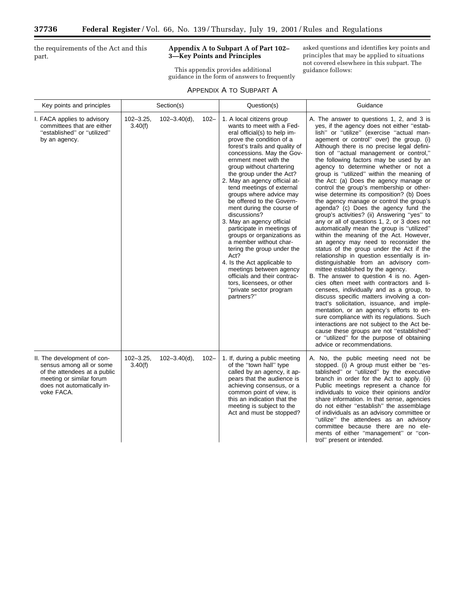$\equiv$ 

the requirements of the Act and this part.

# **Appendix A to Subpart A of Part 102– 3—Key Points and Principles**

This appendix provides additional guidance in the form of answers to frequently asked questions and identifies key points and principles that may be applied to situations not covered elsewhere in this subpart. The guidance follows:

| Key points and principles                                                                                                                                       |                         | Section(s)        |         | Question(s)                                                                                                                                                                                                                                                                                                                                                                                                                                                                                                                                                                                                                                                                                                                                                    | Guidance                                                                                                                                                                                                                                                                                                                                                                                                                                                                                                                                                                                                                                                                                                                                                                                                                                                                                                                                                                                                                                                                                                                                                                                                                                                                                                                                                                                                                                                                                                                                |
|-----------------------------------------------------------------------------------------------------------------------------------------------------------------|-------------------------|-------------------|---------|----------------------------------------------------------------------------------------------------------------------------------------------------------------------------------------------------------------------------------------------------------------------------------------------------------------------------------------------------------------------------------------------------------------------------------------------------------------------------------------------------------------------------------------------------------------------------------------------------------------------------------------------------------------------------------------------------------------------------------------------------------------|-----------------------------------------------------------------------------------------------------------------------------------------------------------------------------------------------------------------------------------------------------------------------------------------------------------------------------------------------------------------------------------------------------------------------------------------------------------------------------------------------------------------------------------------------------------------------------------------------------------------------------------------------------------------------------------------------------------------------------------------------------------------------------------------------------------------------------------------------------------------------------------------------------------------------------------------------------------------------------------------------------------------------------------------------------------------------------------------------------------------------------------------------------------------------------------------------------------------------------------------------------------------------------------------------------------------------------------------------------------------------------------------------------------------------------------------------------------------------------------------------------------------------------------------|
| I. FACA applies to advisory<br>committees that are either<br>"established" or "utilized"<br>by an agency.                                                       | $102 - 3.25$<br>3.40(f) | $102 - 3.40(d)$ , | $102 -$ | 1. A local citizens group<br>wants to meet with a Fed-<br>eral official(s) to help im-<br>prove the condition of a<br>forest's trails and quality of<br>concessions. May the Gov-<br>ernment meet with the<br>group without chartering<br>the group under the Act?<br>2. May an agency official at-<br>tend meetings of external<br>groups where advice may<br>be offered to the Govern-<br>ment during the course of<br>discussions?<br>3. May an agency official<br>participate in meetings of<br>groups or organizations as<br>a member without char-<br>tering the group under the<br>Act?<br>4. Is the Act applicable to<br>meetings between agency<br>officials and their contrac-<br>tors, licensees, or other<br>"private sector program<br>partners?" | A. The answer to questions 1, 2, and 3 is<br>yes, if the agency does not either "estab-<br>lish" or "utilize" (exercise "actual man-<br>agement or control" over) the group. (i)<br>Although there is no precise legal defini-<br>tion of "actual management or control,"<br>the following factors may be used by an<br>agency to determine whether or not a<br>group is "utilized" within the meaning of<br>the Act: (a) Does the agency manage or<br>control the group's membership or other-<br>wise determine its composition? (b) Does<br>the agency manage or control the group's<br>agenda? (c) Does the agency fund the<br>group's activities? (ii) Answering "yes" to<br>any or all of questions 1, 2, or 3 does not<br>automatically mean the group is "utilized"<br>within the meaning of the Act. However,<br>an agency may need to reconsider the<br>status of the group under the Act if the<br>relationship in question essentially is in-<br>distinguishable from an advisory com-<br>mittee established by the agency.<br>B. The answer to question 4 is no. Agen-<br>cies often meet with contractors and li-<br>censees, individually and as a group, to<br>discuss specific matters involving a con-<br>tract's solicitation, issuance, and imple-<br>mentation, or an agency's efforts to en-<br>sure compliance with its regulations. Such<br>interactions are not subject to the Act be-<br>cause these groups are not "established"<br>or "utilized" for the purpose of obtaining<br>advice or recommendations. |
| II. The development of con-<br>sensus among all or some<br>of the attendees at a public<br>meeting or similar forum<br>does not automatically in-<br>voke FACA. | $102 - 3.25$<br>3.40(f) | $102 - 3.40(d)$ , | $102 -$ | 1. If, during a public meeting<br>of the "town hall" type<br>called by an agency, it ap-<br>pears that the audience is<br>achieving consensus, or a<br>common point of view, is<br>this an indication that the<br>meeting is subject to the<br>Act and must be stopped?                                                                                                                                                                                                                                                                                                                                                                                                                                                                                        | A. No, the public meeting need not be<br>stopped. (i) A group must either be "es-<br>tablished" or "utilized" by the executive<br>branch in order for the Act to apply. (ii)<br>Public meetings represent a chance for<br>individuals to voice their opinions and/or<br>share information. In that sense, agencies<br>do not either "establish" the assemblage<br>of individuals as an advisory committee or<br>"utilize" the attendees as an advisory<br>committee because there are no ele-<br>ments of either "management" or "con-<br>trol" present or intended.                                                                                                                                                                                                                                                                                                                                                                                                                                                                                                                                                                                                                                                                                                                                                                                                                                                                                                                                                                    |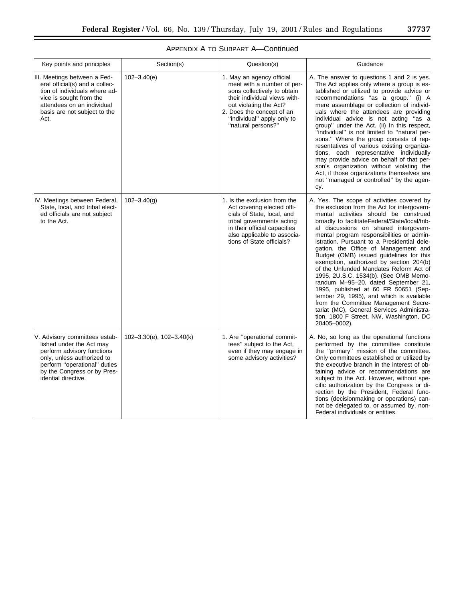| Key points and principles                                                                                                                                                                                   | Section(s)                        | Question(s)                                                                                                                                                                                                                       | Guidance                                                                                                                                                                                                                                                                                                                                                                                                                                                                                                                                                                                                                                                                                                                                                                                                              |
|-------------------------------------------------------------------------------------------------------------------------------------------------------------------------------------------------------------|-----------------------------------|-----------------------------------------------------------------------------------------------------------------------------------------------------------------------------------------------------------------------------------|-----------------------------------------------------------------------------------------------------------------------------------------------------------------------------------------------------------------------------------------------------------------------------------------------------------------------------------------------------------------------------------------------------------------------------------------------------------------------------------------------------------------------------------------------------------------------------------------------------------------------------------------------------------------------------------------------------------------------------------------------------------------------------------------------------------------------|
| III. Meetings between a Fed-<br>eral official(s) and a collec-<br>tion of individuals where ad-<br>vice is sought from the<br>attendees on an individual<br>basis are not subject to the<br>Act.            | $102 - 3.40(e)$                   | 1. May an agency official<br>meet with a number of per-<br>sons collectively to obtain<br>their individual views with-<br>out violating the Act?<br>2. Does the concept of an<br>"individual" apply only to<br>"natural persons?" | A. The answer to questions 1 and 2 is yes.<br>The Act applies only where a group is es-<br>tablished or utilized to provide advice or<br>recommendations "as a group." (i) A<br>mere assemblage or collection of individ-<br>uals where the attendees are providing<br>individual advice is not acting "as a<br>group" under the Act. (ii) In this respect,<br>"individual" is not limited to "natural per-<br>sons." Where the group consists of rep-<br>resentatives of various existing organiza-<br>tions, each representative individually<br>may provide advice on behalf of that per-<br>son's organization without violating the<br>Act, if those organizations themselves are<br>not "managed or controlled" by the agen-<br>CV.                                                                             |
| IV. Meetings between Federal,<br>State, local, and tribal elect-<br>ed officials are not subject<br>to the Act.                                                                                             | $102 - 3.40(q)$                   | 1. Is the exclusion from the<br>Act covering elected offi-<br>cials of State, local, and<br>tribal governments acting<br>in their official capacities<br>also applicable to associa-<br>tions of State officials?                 | A. Yes. The scope of activities covered by<br>the exclusion from the Act for intergovern-<br>mental activities should be construed<br>broadly to facilitateFederal/State/local/trib-<br>al discussions on shared intergovern-<br>mental program responsibilities or admin-<br>istration. Pursuant to a Presidential dele-<br>gation, the Office of Management and<br>Budget (OMB) issued guidelines for this<br>exemption, authorized by section 204(b)<br>of the Unfunded Mandates Reform Act of<br>1995, 2U.S.C. 1534(b). (See OMB Memo-<br>randum M-95-20, dated September 21,<br>1995, published at 60 FR 50651 (Sep-<br>tember 29, 1995), and which is available<br>from the Committee Management Secre-<br>tariat (MC), General Services Administra-<br>tion, 1800 F Street, NW, Washington, DC<br>20405-0002). |
| V. Advisory committees estab-<br>lished under the Act may<br>perform advisory functions<br>only, unless authorized to<br>perform "operational" duties<br>by the Congress or by Pres-<br>idential directive. | $102 - 3.30(e)$ , $102 - 3.40(k)$ | 1. Are "operational commit-<br>tees" subject to the Act,<br>even if they may engage in<br>some advisory activities?                                                                                                               | A. No, so long as the operational functions<br>performed by the committee constitute<br>the "primary" mission of the committee.<br>Only committees established or utilized by<br>the executive branch in the interest of ob-<br>taining advice or recommendations are<br>subject to the Act. However, without spe-<br>cific authorization by the Congress or di-<br>rection by the President, Federal func-<br>tions (decisionmaking or operations) can-                                                                                                                                                                                                                                                                                                                                                              |

# APPENDIX A TO SUBPART A—Continued

not be delegated to, or assumed by, non-

Federal individuals or entities.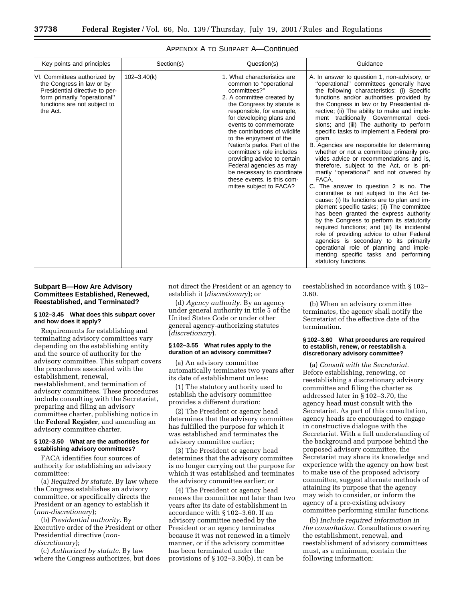| Key points and principles                                                                                                                                               | Section(s)      | Question(s)                                                                                                                                                                                                                                                                                                                                                                                                                                                                                 | Guidance                                                                                                                                                                                                                                                                                                                                                                                                                                                                                                                                                                                                                                                                                                                                                                                                                                                                                                                                                                                                                                                                                                                                                                                            |
|-------------------------------------------------------------------------------------------------------------------------------------------------------------------------|-----------------|---------------------------------------------------------------------------------------------------------------------------------------------------------------------------------------------------------------------------------------------------------------------------------------------------------------------------------------------------------------------------------------------------------------------------------------------------------------------------------------------|-----------------------------------------------------------------------------------------------------------------------------------------------------------------------------------------------------------------------------------------------------------------------------------------------------------------------------------------------------------------------------------------------------------------------------------------------------------------------------------------------------------------------------------------------------------------------------------------------------------------------------------------------------------------------------------------------------------------------------------------------------------------------------------------------------------------------------------------------------------------------------------------------------------------------------------------------------------------------------------------------------------------------------------------------------------------------------------------------------------------------------------------------------------------------------------------------------|
| VI. Committees authorized by<br>the Congress in law or by<br>Presidential directive to per-<br>form primarily "operational"<br>functions are not subject to<br>the Act. | $102 - 3.40(k)$ | 1. What characteristics are<br>common to "operational<br>committees?"<br>2. A committee created by<br>the Congress by statute is<br>responsible, for example,<br>for developing plans and<br>events to commemorate<br>the contributions of wildlife<br>to the enjoyment of the<br>Nation's parks. Part of the<br>committee's role includes<br>providing advice to certain<br>Federal agencies as may<br>be necessary to coordinate<br>these events. Is this com-<br>mittee subject to FACA? | A. In answer to question 1, non-advisory, or<br>"operational" committees generally have<br>the following characteristics: (i) Specific<br>functions and/or authorities provided by<br>the Congress in law or by Presidential di-<br>rective; (ii) The ability to make and imple-<br>ment traditionally Governmental deci-<br>sions; and (iii) The authority to perform<br>specific tasks to implement a Federal pro-<br>gram.<br>B. Agencies are responsible for determining<br>whether or not a committee primarily pro-<br>vides advice or recommendations and is,<br>therefore, subject to the Act, or is pri-<br>marily "operational" and not covered by<br>FACA.<br>C. The answer to question 2 is no. The<br>committee is not subject to the Act be-<br>cause: (i) Its functions are to plan and im-<br>plement specific tasks; (ii) The committee<br>has been granted the express authority<br>by the Congress to perform its statutorily<br>required functions; and (iii) Its incidental<br>role of providing advice to other Federal<br>agencies is secondary to its primarily<br>operational role of planning and imple-<br>menting specific tasks and performing<br>statutory functions. |

## APPENDIX A TO SUBPART A—Continued

#### **Subpart B—How Are Advisory Committees Established, Renewed, Reestablished, and Terminated?**

#### **§ 102–3.45 What does this subpart cover and how does it apply?**

Requirements for establishing and terminating advisory committees vary depending on the establishing entity and the source of authority for the advisory committee. This subpart covers the procedures associated with the establishment, renewal, reestablishment, and termination of advisory committees. These procedures include consulting with the Secretariat, preparing and filing an advisory committee charter, publishing notice in the **Federal Register**, and amending an advisory committee charter.

#### **§ 102–3.50 What are the authorities for establishing advisory committees?**

FACA identifies four sources of authority for establishing an advisory committee:

(a) *Required by statute.* By law where the Congress establishes an advisory committee, or specifically directs the President or an agency to establish it (*non-discretionary*);

(b) *Presidential authority.* By Executive order of the President or other Presidential directive (*nondiscretionary*);

(c) *Authorized by statute.* By law where the Congress authorizes, but does not direct the President or an agency to establish it (*discretionary*); or

(d) *Agency authority.* By an agency under general authority in title 5 of the United States Code or under other general agency-authorizing statutes (*discretionary*).

#### **§ 102–3.55 What rules apply to the duration of an advisory committee?**

(a) An advisory committee automatically terminates two years after its date of establishment unless:

(1) The statutory authority used to establish the advisory committee provides a different duration;

(2) The President or agency head determines that the advisory committee has fulfilled the purpose for which it was established and terminates the advisory committee earlier;

(3) The President or agency head determines that the advisory committee is no longer carrying out the purpose for which it was established and terminates the advisory committee earlier; or

(4) The President or agency head renews the committee not later than two years after its date of establishment in accordance with § 102–3.60. If an advisory committee needed by the President or an agency terminates because it was not renewed in a timely manner, or if the advisory committee has been terminated under the provisions of § 102–3.30(b), it can be

reestablished in accordance with § 102– 3.60.

(b) When an advisory committee terminates, the agency shall notify the Secretariat of the effective date of the termination.

#### **§ 102–3.60 What procedures are required to establish, renew, or reestablish a discretionary advisory committee?**

(a) *Consult with the Secretariat.* Before establishing, renewing, or reestablishing a discretionary advisory committee and filing the charter as addressed later in § 102–3.70, the agency head must consult with the Secretariat. As part of this consultation, agency heads are encouraged to engage in constructive dialogue with the Secretariat. With a full understanding of the background and purpose behind the proposed advisory committee, the Secretariat may share its knowledge and experience with the agency on how best to make use of the proposed advisory committee, suggest alternate methods of attaining its purpose that the agency may wish to consider, or inform the agency of a pre-existing advisory committee performing similar functions.

(b) *Include required information in the consultation.* Consultations covering the establishment, renewal, and reestablishment of advisory committees must, as a minimum, contain the following information: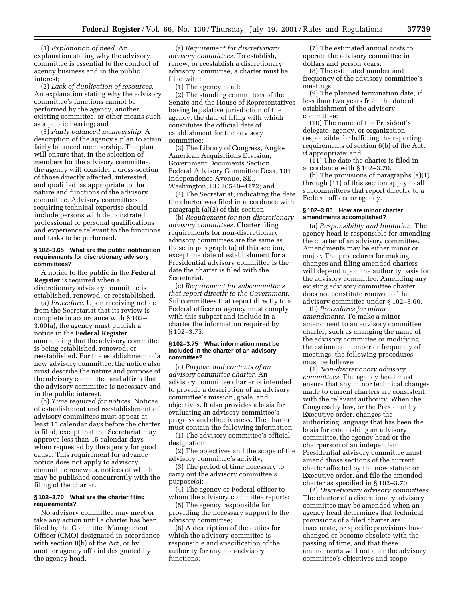(1) *Explanation of need.* An explanation stating why the advisory committee is essential to the conduct of agency business and in the public interest;

(2) *Lack of duplication of resources.* An explanation stating why the advisory committee's functions cannot be performed by the agency, another existing committee, or other means such as a public hearing; and

(3) *Fairly balanced membership.* A description of the agency's plan to attain fairly balanced membership. The plan will ensure that, in the selection of members for the advisory committee, the agency will consider a cross-section of those directly affected, interested, and qualified, as appropriate to the nature and functions of the advisory committee. Advisory committees requiring technical expertise should include persons with demonstrated professional or personal qualifications and experience relevant to the functions and tasks to be performed.

#### **§ 102–3.65 What are the public notification requirements for discretionary advisory committees?**

A notice to the public in the **Federal Register** is required when a discretionary advisory committee is established, renewed, or reestablished.

(a) *Procedure.* Upon receiving notice from the Secretariat that its review is complete in accordance with § 102– 3.60(a), the agency must publish a notice in the **Federal Register** announcing that the advisory committee is being established, renewed, or reestablished. For the establishment of a new advisory committee, the notice also must describe the nature and purpose of the advisory committee and affirm that the advisory committee is necessary and in the public interest.

(b) *Time required for notices.* Notices of establishment and reestablishment of advisory committees must appear at least 15 calendar days before the charter is filed, except that the Secretariat may approve less than 15 calendar days when requested by the agency for good cause. This requirement for advance notice does not apply to advisory committee renewals, notices of which may be published concurrently with the filing of the charter.

#### **§ 102–3.70 What are the charter filing requirements?**

No advisory committee may meet or take any action until a charter has been filed by the Committee Management Officer (CMO) designated in accordance with section 8(b) of the Act, or by another agency official designated by the agency head.

(a) *Requirement for discretionary advisory committees.* To establish, renew, or reestablish a discretionary advisory committee, a charter must be filed with:

(1) The agency head;

(2) The standing committees of the Senate and the House of Representatives having legislative jurisdiction of the agency, the date of filing with which constitutes the official date of establishment for the advisory committee;

(3) The Library of Congress, Anglo-American Acquisitions Division, Government Documents Section, Federal Advisory Committee Desk, 101 Independence Avenue, SE., Washington, DC 20540–4172; and

(4) The Secretariat, indicating the date the charter was filed in accordance with paragraph (a)(2) of this section.

(b) *Requirement for non-discretionary advisory committees.* Charter filing requirements for non-discretionary advisory committees are the same as those in paragraph (a) of this section, except the date of establishment for a Presidential advisory committee is the date the charter is filed with the Secretariat.

(c) *Requirement for subcommittees that report directly to the Government.* Subcommittees that report directly to a Federal officer or agency must comply with this subpart and include in a charter the information required by § 102–3.75.

#### **§ 102–3.75 What information must be included in the charter of an advisory committee?**

(a) *Purpose and contents of an advisory committee charter.* An advisory committee charter is intended to provide a description of an advisory committee's mission, goals, and objectives. It also provides a basis for evaluating an advisory committee's progress and effectiveness. The charter must contain the following information:

(1) The advisory committee's official designation;

(2) The objectives and the scope of the advisory committee's activity;

(3) The period of time necessary to carry out the advisory committee's purpose(s);

(4) The agency or Federal officer to whom the advisory committee reports;

(5) The agency responsible for providing the necessary support to the advisory committee;

(6) A description of the duties for which the advisory committee is responsible and specification of the authority for any non-advisory functions;

(7) The estimated annual costs to operate the advisory committee in dollars and person years;

(8) The estimated number and frequency of the advisory committee's meetings;

(9) The planned termination date, if less than two years from the date of establishment of the advisory committee;

(10) The name of the President's delegate, agency, or organization responsible for fulfilling the reporting requirements of section 6(b) of the Act, if appropriate; and

 $(11)$  The date the charter is filed in accordance with § 102–3.70.

(b) The provisions of paragraphs (a)(1) through  $(11)$  of this section apply to all subcommittees that report directly to a Federal officer or agency.

#### **§ 102–3.80 How are minor charter amendments accomplished?**

(a) *Responsibility and limitation.* The agency head is responsible for amending the charter of an advisory committee. Amendments may be either minor or major. The procedures for making changes and filing amended charters will depend upon the authority basis for the advisory committee. Amending any existing advisory committee charter does not constitute renewal of the advisory committee under § 102–3.60.

(b) *Procedures for minor amendments.* To make a minor amendment to an advisory committee charter, such as changing the name of the advisory committee or modifying the estimated number or frequency of meetings, the following procedures must be followed:

(1) *Non-discretionary advisory committees.* The agency head must ensure that any minor technical changes made to current charters are consistent with the relevant authority. When the Congress by law, or the President by Executive order, changes the authorizing language that has been the basis for establishing an advisory committee, the agency head or the chairperson of an independent Presidential advisory committee must amend those sections of the current charter affected by the new statute or Executive order, and file the amended charter as specified in § 102–3.70.

(2) *Discretionary advisory committees.* The charter of a discretionary advisory committee may be amended when an agency head determines that technical provisions of a filed charter are inaccurate, or specific provisions have changed or become obsolete with the passing of time, and that these amendments will not alter the advisory committee's objectives and scope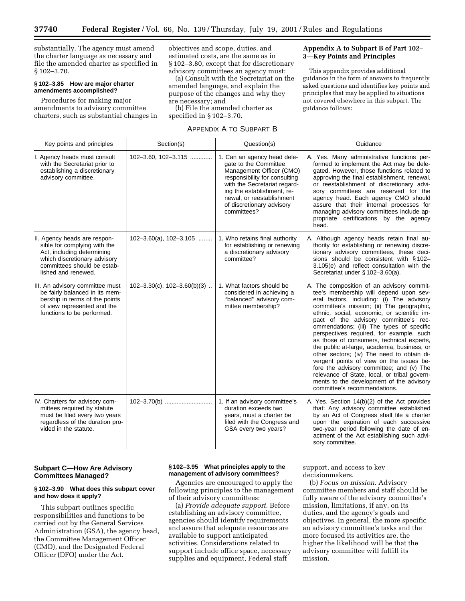substantially. The agency must amend the charter language as necessary and file the amended charter as specified in § 102–3.70.

#### **§ 102–3.85 How are major charter amendments accomplished?**

Procedures for making major amendments to advisory committee charters, such as substantial changes in

objectives and scope, duties, and estimated costs, are the same as in § 102–3.80, except that for discretionary advisory committees an agency must:

(a) Consult with the Secretariat on the amended language, and explain the purpose of the changes and why they are necessary; and

(b) File the amended charter as specified in § 102–3.70.

#### APPENDIX A TO SUBPART B

#### **Appendix A to Subpart B of Part 102– 3—Key Points and Principles**

This appendix provides additional guidance in the form of answers to frequently asked questions and identifies key points and principles that may be applied to situations not covered elsewhere in this subpart. The guidance follows:

| Key points and principles                                                                                                                                                        | Section(s)                           | Question(s)                                                                                                                                                                                                                                              | Guidance                                                                                                                                                                                                                                                                                                                                                                                                                                                                                                                                                                                                                                                                                                                     |
|----------------------------------------------------------------------------------------------------------------------------------------------------------------------------------|--------------------------------------|----------------------------------------------------------------------------------------------------------------------------------------------------------------------------------------------------------------------------------------------------------|------------------------------------------------------------------------------------------------------------------------------------------------------------------------------------------------------------------------------------------------------------------------------------------------------------------------------------------------------------------------------------------------------------------------------------------------------------------------------------------------------------------------------------------------------------------------------------------------------------------------------------------------------------------------------------------------------------------------------|
| I. Agency heads must consult<br>with the Secretariat prior to<br>establishing a discretionary<br>advisory committee.                                                             | 102-3.60, 102-3.115                  | 1. Can an agency head dele-<br>gate to the Committee<br>Management Officer (CMO)<br>responsibility for consulting<br>with the Secretariat regard-<br>ing the establishment, re-<br>newal, or reestablishment<br>of discretionary advisory<br>committees? | A. Yes. Many administrative functions per-<br>formed to implement the Act may be dele-<br>gated. However, those functions related to<br>approving the final establishment, renewal,<br>or reestablishment of discretionary advi-<br>sory committees are reserved for the<br>agency head. Each agency CMO should<br>assure that their internal processes for<br>managing advisory committees include ap-<br>propriate certifications by the agency<br>head.                                                                                                                                                                                                                                                                   |
| II. Agency heads are respon-<br>sible for complying with the<br>Act, including determining<br>which discretionary advisory<br>committees should be estab-<br>lished and renewed. | $102 - 3.60(a)$ , $102 - 3.105$      | 1. Who retains final authority<br>for establishing or renewing<br>a discretionary advisory<br>committee?                                                                                                                                                 | A. Although agency heads retain final au-<br>thority for establishing or renewing discre-<br>tionary advisory committees, these deci-<br>sions should be consistent with §102-<br>3.105(e) and reflect consultation with the<br>Secretariat under § 102-3.60(a).                                                                                                                                                                                                                                                                                                                                                                                                                                                             |
| III. An advisory committee must<br>be fairly balanced in its mem-<br>bership in terms of the points<br>of view represented and the<br>functions to be performed.                 | $102 - 3.30(c)$ , $102 - 3.60(b)(3)$ | 1. What factors should be<br>considered in achieving a<br>"balanced" advisory com-<br>mittee membership?                                                                                                                                                 | A. The composition of an advisory commit-<br>tee's membership will depend upon sev-<br>eral factors, including: (i) The advisory<br>committee's mission; (ii) The geographic,<br>ethnic, social, economic, or scientific im-<br>pact of the advisory committee's rec-<br>ommendations; (iii) The types of specific<br>perspectives required, for example, such<br>as those of consumers, technical experts,<br>the public at-large, academia, business, or<br>other sectors; (iv) The need to obtain di-<br>vergent points of view on the issues be-<br>fore the advisory committee; and (v) The<br>relevance of State, local, or tribal govern-<br>ments to the development of the advisory<br>committee's recommendations. |
| IV. Charters for advisory com-<br>mittees required by statute<br>must be filed every two years<br>regardless of the duration pro-<br>vided in the statute.                       |                                      | 1. If an advisory committee's<br>duration exceeds two<br>years, must a charter be<br>filed with the Congress and<br>GSA every two years?                                                                                                                 | A. Yes. Section 14(b)(2) of the Act provides<br>that: Any advisory committee established<br>by an Act of Congress shall file a charter<br>upon the expiration of each successive<br>two-year period following the date of en-<br>actment of the Act establishing such advi-<br>sory committee.                                                                                                                                                                                                                                                                                                                                                                                                                               |

#### **Subpart C—How Are Advisory Committees Managed?**

#### **§ 102–3.90 What does this subpart cover and how does it apply?**

This subpart outlines specific responsibilities and functions to be carried out by the General Services Administration (GSA), the agency head, the Committee Management Officer (CMO), and the Designated Federal Officer (DFO) under the Act.

#### **§ 102–3.95 What principles apply to the management of advisory committees?**

Agencies are encouraged to apply the following principles to the management of their advisory committees:

(a) *Provide adequate support*. Before establishing an advisory committee, agencies should identify requirements and assure that adequate resources are available to support anticipated activities. Considerations related to support include office space, necessary supplies and equipment, Federal staff

support, and access to key decisionmakers.

(b) *Focus on mission*. Advisory committee members and staff should be fully aware of the advisory committee's mission, limitations, if any, on its duties, and the agency's goals and objectives. In general, the more specific an advisory committee's tasks and the more focused its activities are, the higher the likelihood will be that the advisory committee will fulfill its mission.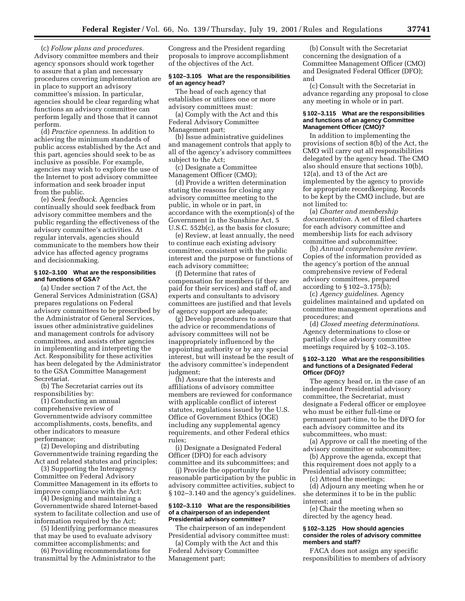(c) *Follow plans and procedures*. Advisory committee members and their agency sponsors should work together to assure that a plan and necessary procedures covering implementation are in place to support an advisory committee's mission. In particular, agencies should be clear regarding what functions an advisory committee can perform legally and those that it cannot perform.

(d) *Practice openness*. In addition to achieving the minimum standards of public access established by the Act and this part, agencies should seek to be as inclusive as possible. For example, agencies may wish to explore the use of the Internet to post advisory committee information and seek broader input from the public.

(e) *Seek feedback*. Agencies continually should seek feedback from advisory committee members and the public regarding the effectiveness of the advisory committee's activities. At regular intervals, agencies should communicate to the members how their advice has affected agency programs and decisionmaking.

#### **§ 102–3.100 What are the responsibilities and functions of GSA?**

(a) Under section 7 of the Act, the General Services Administration (GSA) prepares regulations on Federal advisory committees to be prescribed by the Administrator of General Services, issues other administrative guidelines and management controls for advisory committees, and assists other agencies in implementing and interpreting the Act. Responsibility for these activities has been delegated by the Administrator to the GSA Committee Management Secretariat.

(b) The Secretariat carries out its responsibilities by:

(1) Conducting an annual comprehensive review of Governmentwide advisory committee accomplishments, costs, benefits, and other indicators to measure performance;

(2) Developing and distributing Governmentwide training regarding the Act and related statutes and principles;

(3) Supporting the Interagency Committee on Federal Advisory Committee Management in its efforts to improve compliance with the Act;

(4) Designing and maintaining a Governmentwide shared Internet-based system to facilitate collection and use of information required by the Act;

(5) Identifying performance measures that may be used to evaluate advisory committee accomplishments; and

(6) Providing recommendations for transmittal by the Administrator to the Congress and the President regarding proposals to improve accomplishment of the objectives of the Act.

#### **§ 102–3.105 What are the responsibilities of an agency head?**

The head of each agency that establishes or utilizes one or more advisory committees must:

(a) Comply with the Act and this Federal Advisory Committee Management part;

(b) Issue administrative guidelines and management controls that apply to all of the agency's advisory committees subject to the Act;

(c) Designate a Committee Management Officer (CMO);

(d) Provide a written determination stating the reasons for closing any advisory committee meeting to the public, in whole or in part, in accordance with the exemption(s) of the Government in the Sunshine Act, 5 U.S.C. 552b(c), as the basis for closure;

(e) Review, at least annually, the need to continue each existing advisory committee, consistent with the public interest and the purpose or functions of each advisory committee;

(f) Determine that rates of compensation for members (if they are paid for their services) and staff of, and experts and consultants to advisory committees are justified and that levels of agency support are adequate;

(g) Develop procedures to assure that the advice or recommendations of advisory committees will not be inappropriately influenced by the appointing authority or by any special interest, but will instead be the result of the advisory committee's independent judgment;

(h) Assure that the interests and affiliations of advisory committee members are reviewed for conformance with applicable conflict of interest statutes, regulations issued by the U.S. Office of Government Ethics (OGE) including any supplemental agency requirements, and other Federal ethics rules;

(i) Designate a Designated Federal Officer (DFO) for each advisory committee and its subcommittees; and

(j) Provide the opportunity for reasonable participation by the public in advisory committee activities, subject to § 102–3.140 and the agency's guidelines.

#### **§ 102–3.110 What are the responsibilities of a chairperson of an independent Presidential advisory committee?**

The chairperson of an independent Presidential advisory committee must:

(a) Comply with the Act and this Federal Advisory Committee Management part;

(b) Consult with the Secretariat concerning the designation of a Committee Management Officer (CMO) and Designated Federal Officer (DFO); and

(c) Consult with the Secretariat in advance regarding any proposal to close any meeting in whole or in part.

#### **§ 102–3.115 What are the responsibilities and functions of an agency Committee Management Officer (CMO)?**

In addition to implementing the provisions of section 8(b) of the Act, the CMO will carry out all responsibilities delegated by the agency head. The CMO also should ensure that sections 10(b), 12(a), and 13 of the Act are implemented by the agency to provide for appropriate recordkeeping. Records to be kept by the CMO include, but are not limited to:

(a) *Charter and membership documentation*. A set of filed charters for each advisory committee and membership lists for each advisory committee and subcommittee;

(b) *Annual comprehensive review*. Copies of the information provided as the agency's portion of the annual comprehensive review of Federal advisory committees, prepared according to § 102–3.175(b);

(c) *Agency guidelines*. Agency guidelines maintained and updated on committee management operations and procedures; and

(d) *Closed meeting determinations*. Agency determinations to close or partially close advisory committee meetings required by § 102–3.105.

#### **§ 102–3.120 What are the responsibilities and functions of a Designated Federal Officer (DFO)?**

The agency head or, in the case of an independent Presidential advisory committee, the Secretariat, must designate a Federal officer or employee who must be either full-time or permanent part-time, to be the DFO for each advisory committee and its subcommittees, who must:

(a) Approve or call the meeting of the advisory committee or subcommittee;

(b) Approve the agenda, except that this requirement does not apply to a Presidential advisory committee;

(c) Attend the meetings;

(d) Adjourn any meeting when he or she determines it to be in the public interest; and

(e) Chair the meeting when so directed by the agency head.

#### **§ 102–3.125 How should agencies consider the roles of advisory committee members and staff?**

FACA does not assign any specific responsibilities to members of advisory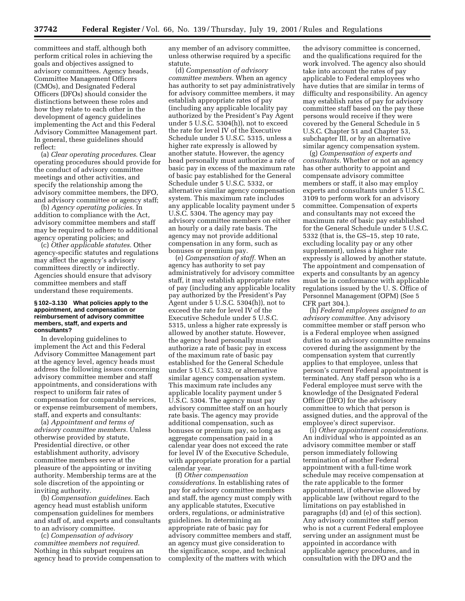committees and staff, although both perform critical roles in achieving the goals and objectives assigned to advisory committees. Agency heads, Committee Management Officers (CMOs), and Designated Federal Officers (DFOs) should consider the distinctions between these roles and how they relate to each other in the development of agency guidelines implementing the Act and this Federal Advisory Committee Management part. In general, these guidelines should reflect:

(a) *Clear operating procedures*. Clear operating procedures should provide for the conduct of advisory committee meetings and other activities, and specify the relationship among the advisory committee members, the DFO, and advisory committee or agency staff;

(b) *Agency operating policies*. In addition to compliance with the Act, advisory committee members and staff may be required to adhere to additional agency operating policies; and

(c) *Other applicable statutes*. Other agency-specific statutes and regulations may affect the agency's advisory committees directly or indirectly. Agencies should ensure that advisory committee members and staff understand these requirements.

#### **§ 102–3.130 What policies apply to the appointment, and compensation or reimbursement of advisory committee members, staff, and experts and consultants?**

In developing guidelines to implement the Act and this Federal Advisory Committee Management part at the agency level, agency heads must address the following issues concerning advisory committee member and staff appointments, and considerations with respect to uniform fair rates of compensation for comparable services, or expense reimbursement of members, staff, and experts and consultants:

(a) *Appointment and terms of advisory committee members.* Unless otherwise provided by statute, Presidential directive, or other establishment authority, advisory committee members serve at the pleasure of the appointing or inviting authority. Membership terms are at the sole discretion of the appointing or inviting authority.

(b) *Compensation guidelines.* Each agency head must establish uniform compensation guidelines for members and staff of, and experts and consultants to an advisory committee.

(c) *Compensation of advisory committee members not required.* Nothing in this subpart requires an agency head to provide compensation to any member of an advisory committee, unless otherwise required by a specific statute.

(d) *Compensation of advisory committee members.* When an agency has authority to set pay administratively for advisory committee members, it may establish appropriate rates of pay (including any applicable locality pay authorized by the President's Pay Agent under 5 U.S.C. 5304(h)), not to exceed the rate for level IV of the Executive Schedule under 5 U.S.C. 5315, unless a higher rate expressly is allowed by another statute. However, the agency head personally must authorize a rate of basic pay in excess of the maximum rate of basic pay established for the General Schedule under 5 U.S.C. 5332, or alternative similar agency compensation system. This maximum rate includes any applicable locality payment under 5 U.S.C. 5304. The agency may pay advisory committee members on either an hourly or a daily rate basis. The agency may not provide additional compensation in any form, such as bonuses or premium pay.

(e) *Compensation of staff.* When an agency has authority to set pay administratively for advisory committee staff, it may establish appropriate rates of pay (including any applicable locality pay authorized by the President's Pay Agent under 5 U.S.C. 5304(h)), not to exceed the rate for level IV of the Executive Schedule under 5 U.S.C. 5315, unless a higher rate expressly is allowed by another statute. However, the agency head personally must authorize a rate of basic pay in excess of the maximum rate of basic pay established for the General Schedule under 5 U.S.C. 5332, or alternative similar agency compensation system. This maximum rate includes any applicable locality payment under 5 U.S.C. 5304. The agency must pay advisory committee staff on an hourly rate basis. The agency may provide additional compensation, such as bonuses or premium pay, so long as aggregate compensation paid in a calendar year does not exceed the rate for level IV of the Executive Schedule, with appropriate proration for a partial calendar year.

(f) *Other compensation considerations.* In establishing rates of pay for advisory committee members and staff, the agency must comply with any applicable statutes, Executive orders, regulations, or administrative guidelines. In determining an appropriate rate of basic pay for advisory committee members and staff, an agency must give consideration to the significance, scope, and technical complexity of the matters with which

the advisory committee is concerned, and the qualifications required for the work involved. The agency also should take into account the rates of pay applicable to Federal employees who have duties that are similar in terms of difficulty and responsibility. An agency may establish rates of pay for advisory committee staff based on the pay these persons would receive if they were covered by the General Schedule in 5 U.S.C. Chapter 51 and Chapter 53, subchapter III, or by an alternative similar agency compensation system.

(g) *Compensation of experts and consultants.* Whether or not an agency has other authority to appoint and compensate advisory committee members or staff, it also may employ experts and consultants under 5 U.S.C. 3109 to perform work for an advisory committee. Compensation of experts and consultants may not exceed the maximum rate of basic pay established for the General Schedule under 5 U.S.C. 5332 (that is, the GS–15, step 10 rate, excluding locality pay or any other supplement), unless a higher rate expressly is allowed by another statute. The appointment and compensation of experts and consultants by an agency must be in conformance with applicable regulations issued by the U. S. Office of Personnel Management (OPM) (See 5 CFR part 304.).

(h) *Federal employees assigned to an advisory committee.* Any advisory committee member or staff person who is a Federal employee when assigned duties to an advisory committee remains covered during the assignment by the compensation system that currently applies to that employee, unless that person's current Federal appointment is terminated. Any staff person who is a Federal employee must serve with the knowledge of the Designated Federal Officer (DFO) for the advisory committee to which that person is assigned duties, and the approval of the employee's direct supervisor.

(i) *Other appointment considerations.* An individual who is appointed as an advisory committee member or staff person immediately following termination of another Federal appointment with a full-time work schedule may receive compensation at the rate applicable to the former appointment, if otherwise allowed by applicable law (without regard to the limitations on pay established in paragraphs (d) and (e) of this section). Any advisory committee staff person who is not a current Federal employee serving under an assignment must be appointed in accordance with applicable agency procedures, and in consultation with the DFO and the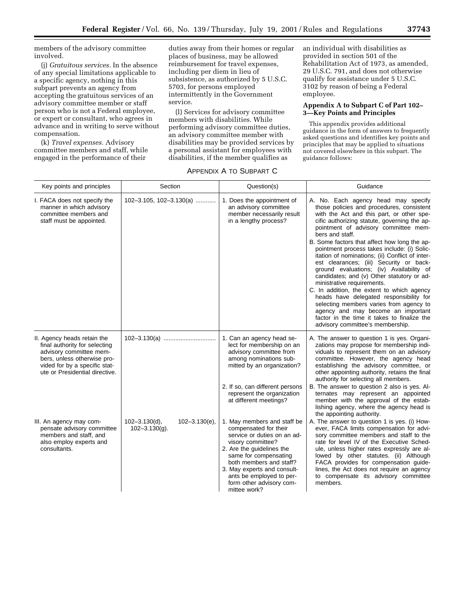members of the advisory committee involved.

(j) *Gratuitous services.* In the absence of any special limitations applicable to a specific agency, nothing in this subpart prevents an agency from accepting the gratuitous services of an advisory committee member or staff person who is not a Federal employee, or expert or consultant, who agrees in advance and in writing to serve without compensation.

(k) *Travel expenses.* Advisory committee members and staff, while engaged in the performance of their

duties away from their homes or regular places of business, may be allowed reimbursement for travel expenses, including per diem in lieu of subsistence, as authorized by 5 U.S.C. 5703, for persons employed intermittently in the Government service.

(l) Services for advisory committee members with disabilities. While performing advisory committee duties, an advisory committee member with disabilities may be provided services by a personal assistant for employees with disabilities, if the member qualifies as

an individual with disabilities as provided in section 501 of the Rehabilitation Act of 1973, as amended, 29 U.S.C. 791, and does not otherwise qualify for assistance under 5 U.S.C. 3102 by reason of being a Federal employee.

#### **Appendix A to Subpart C of Part 102– 3—Key Points and Principles**

This appendix provides additional guidance in the form of answers to frequently asked questions and identifies key points and principles that may be applied to situations not covered elsewhere in this subpart. The guidance follows:

# APPENDIX A TO SUBPART C

| Key points and principles                                                                                                                                                                 | Section                                                        | Question(s)                                                                                                                                                                                                                                                                                      | Guidance                                                                                                                                                                                                                                                                                                                                                                                                                                                                                                                                                                                                                                                                                                                                                                                                                   |
|-------------------------------------------------------------------------------------------------------------------------------------------------------------------------------------------|----------------------------------------------------------------|--------------------------------------------------------------------------------------------------------------------------------------------------------------------------------------------------------------------------------------------------------------------------------------------------|----------------------------------------------------------------------------------------------------------------------------------------------------------------------------------------------------------------------------------------------------------------------------------------------------------------------------------------------------------------------------------------------------------------------------------------------------------------------------------------------------------------------------------------------------------------------------------------------------------------------------------------------------------------------------------------------------------------------------------------------------------------------------------------------------------------------------|
| I. FACA does not specify the<br>manner in which advisory<br>committee members and<br>staff must be appointed.                                                                             | 102-3.105, 102-3.130(a)                                        | 1. Does the appointment of<br>an advisory committee<br>member necessarily result<br>in a lengthy process?                                                                                                                                                                                        | A. No. Each agency head may specify<br>those policies and procedures, consistent<br>with the Act and this part, or other spe-<br>cific authorizing statute, governing the ap-<br>pointment of advisory committee mem-<br>bers and staff.<br>B. Some factors that affect how long the ap-<br>pointment process takes include: (i) Solic-<br>itation of nominations; (ii) Conflict of inter-<br>est clearances; (iii) Security or back-<br>ground evaluations; (iv) Availability of<br>candidates; and (v) Other statutory or ad-<br>ministrative requirements.<br>C. In addition, the extent to which agency<br>heads have delegated responsibility for<br>selecting members varies from agency to<br>agency and may become an important<br>factor in the time it takes to finalize the<br>advisory committee's membership. |
| II. Agency heads retain the<br>final authority for selecting<br>advisory committee mem-<br>bers, unless otherwise pro-<br>vided for by a specific stat-<br>ute or Presidential directive. |                                                                | 1. Can an agency head se-<br>lect for membership on an<br>advisory committee from<br>among nominations sub-<br>mitted by an organization?<br>2. If so, can different persons<br>represent the organization<br>at different meetings?                                                             | A. The answer to question 1 is yes. Organi-<br>zations may propose for membership indi-<br>viduals to represent them on an advisory<br>committee. However, the agency head<br>establishing the advisory committee, or<br>other appointing authority, retains the final<br>authority for selecting all members.<br>B. The answer to question 2 also is yes. Al-<br>ternates may represent an appointed<br>member with the approval of the estab-<br>lishing agency, where the agency head is<br>the appointing authority.                                                                                                                                                                                                                                                                                                   |
| III. An agency may com-<br>pensate advisory committee<br>members and staff, and<br>also employ experts and<br>consultants.                                                                | $102 - 3.130(d)$ ,<br>$102 - 3.130(e)$ ,<br>$102 - 3.130(q)$ . | 1. May members and staff be<br>compensated for their<br>service or duties on an ad-<br>visory committee?<br>2. Are the guidelines the<br>same for compensating<br>both members and staff?<br>3. May experts and consult-<br>ants be employed to per-<br>form other advisory com-<br>mittee work? | A. The answer to question 1 is yes. (i) How-<br>ever, FACA limits compensation for advi-<br>sory committee members and staff to the<br>rate for level IV of the Executive Sched-<br>ule, unless higher rates expressly are al-<br>lowed by other statutes. (ii) Although<br>FACA provides for compensation guide-<br>lines, the Act does not require an agency<br>to compensate its advisory committee<br>members.                                                                                                                                                                                                                                                                                                                                                                                                         |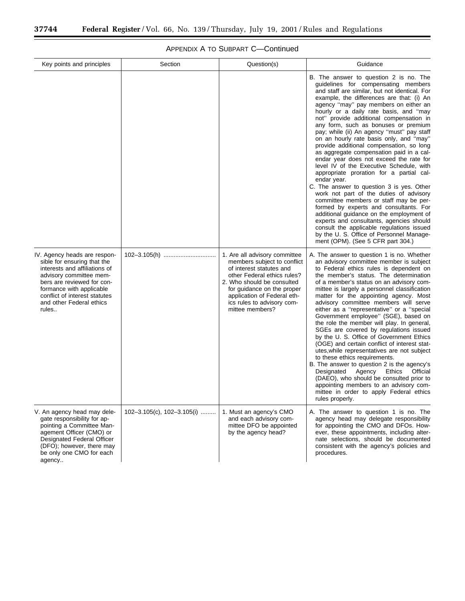۳

Ξ

| Key points and principles                                                                                                                                                                                                                               | Section                    | Question(s)                                                                                                                                                                                                                                                         | Guidance                                                                                                                                                                                                                                                                                                                                                                                                                                                                                                                                                                                                                                                                                                                                                                                                                                                                                                                                                                                                                                                                              |
|---------------------------------------------------------------------------------------------------------------------------------------------------------------------------------------------------------------------------------------------------------|----------------------------|---------------------------------------------------------------------------------------------------------------------------------------------------------------------------------------------------------------------------------------------------------------------|---------------------------------------------------------------------------------------------------------------------------------------------------------------------------------------------------------------------------------------------------------------------------------------------------------------------------------------------------------------------------------------------------------------------------------------------------------------------------------------------------------------------------------------------------------------------------------------------------------------------------------------------------------------------------------------------------------------------------------------------------------------------------------------------------------------------------------------------------------------------------------------------------------------------------------------------------------------------------------------------------------------------------------------------------------------------------------------|
|                                                                                                                                                                                                                                                         |                            |                                                                                                                                                                                                                                                                     | B. The answer to question 2 is no. The<br>guidelines for compensating members<br>and staff are similar, but not identical. For<br>example, the differences are that: (i) An<br>agency "may" pay members on either an<br>hourly or a daily rate basis, and "may<br>not" provide additional compensation in<br>any form, such as bonuses or premium<br>pay; while (ii) An agency "must" pay staff<br>on an hourly rate basis only, and "may"<br>provide additional compensation, so long<br>as aggregate compensation paid in a cal-<br>endar year does not exceed the rate for<br>level IV of the Executive Schedule, with<br>appropriate proration for a partial cal-<br>endar year.<br>C. The answer to question 3 is yes. Other<br>work not part of the duties of advisory<br>committee members or staff may be per-<br>formed by experts and consultants. For<br>additional guidance on the employment of<br>experts and consultants, agencies should<br>consult the applicable regulations issued<br>by the U.S. Office of Personnel Manage-<br>ment (OPM). (See 5 CFR part 304.) |
| IV. Agency heads are respon-<br>sible for ensuring that the<br>interests and affiliations of<br>advisory committee mem-<br>bers are reviewed for con-<br>formance with applicable<br>conflict of interest statutes<br>and other Federal ethics<br>rules |                            | 1. Are all advisory committee<br>members subject to conflict<br>of interest statutes and<br>other Federal ethics rules?<br>2. Who should be consulted<br>for guidance on the proper<br>application of Federal eth-<br>ics rules to advisory com-<br>mittee members? | A. The answer to question 1 is no. Whether<br>an advisory committee member is subject<br>to Federal ethics rules is dependent on<br>the member's status. The determination<br>of a member's status on an advisory com-<br>mittee is largely a personnel classification<br>matter for the appointing agency. Most<br>advisory committee members will serve<br>either as a "representative" or a "special<br>Government employee" (SGE), based on<br>the role the member will play. In general,<br>SGEs are covered by regulations issued<br>by the U. S. Office of Government Ethics<br>(OGE) and certain conflict of interest stat-<br>utes, while representatives are not subject<br>to these ethics requirements.<br>B. The answer to question 2 is the agency's<br>Ethics<br>Designated<br>Agency<br>Official<br>(DAEO), who should be consulted prior to<br>appointing members to an advisory com-<br>mittee in order to apply Federal ethics<br>rules properly.                                                                                                                  |
| V. An agency head may dele-<br>gate responsibility for ap-<br>pointing a Committee Man-<br>agement Officer (CMO) or<br>Designated Federal Officer<br>(DFO); however, there may<br>be only one CMO for each<br>agency                                    | 102-3.105(c), 102-3.105(i) | 1. Must an agency's CMO<br>and each advisory com-<br>mittee DFO be appointed<br>by the agency head?                                                                                                                                                                 | A. The answer to question 1 is no. The<br>agency head may delegate responsibility<br>for appointing the CMO and DFOs. How-<br>ever, these appointments, including alter-<br>nate selections, should be documented<br>consistent with the agency's policies and<br>procedures.                                                                                                                                                                                                                                                                                                                                                                                                                                                                                                                                                                                                                                                                                                                                                                                                         |

# APPENDIX A TO SUBPART C—Continued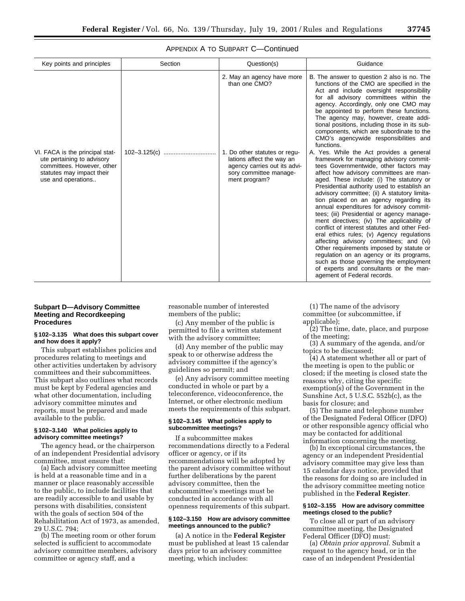| n<br>۴ | . . | n | 1 |
|--------|-----|---|---|
|        |     |   |   |

| Key points and principles                                                                                                                      | Section              | Question(s)                                                                                                                           | Guidance                                                                                                                                                                                                                                                                                                                                                                                                                                                                                                                                                                                                                                                                                                                                                                                                                                                  |
|------------------------------------------------------------------------------------------------------------------------------------------------|----------------------|---------------------------------------------------------------------------------------------------------------------------------------|-----------------------------------------------------------------------------------------------------------------------------------------------------------------------------------------------------------------------------------------------------------------------------------------------------------------------------------------------------------------------------------------------------------------------------------------------------------------------------------------------------------------------------------------------------------------------------------------------------------------------------------------------------------------------------------------------------------------------------------------------------------------------------------------------------------------------------------------------------------|
|                                                                                                                                                |                      | 2. May an agency have more<br>than one CMO?                                                                                           | B. The answer to question 2 also is no. The<br>functions of the CMO are specified in the<br>Act and include oversight responsibility<br>for all advisory committees within the<br>agency. Accordingly, only one CMO may<br>be appointed to perform these functions.<br>The agency may, however, create addi-<br>tional positions, including those in its sub-<br>components, which are subordinate to the<br>CMO's agencywide responsibilities and<br>functions.                                                                                                                                                                                                                                                                                                                                                                                          |
| VI. FACA is the principal stat-<br>ute pertaining to advisory<br>committees. However, other<br>statutes may impact their<br>use and operations | $102 - 3.125(c)$<br> | 1. Do other statutes or regu-<br>lations affect the way an<br>agency carries out its advi-<br>sory committee manage-<br>ment program? | A. Yes. While the Act provides a general<br>framework for managing advisory commit-<br>tees Governmentwide, other factors may<br>affect how advisory committees are man-<br>aged. These include: (i) The statutory or<br>Presidential authority used to establish an<br>advisory committee; (ii) A statutory limita-<br>tion placed on an agency regarding its<br>annual expenditures for advisory commit-<br>tees; (iii) Presidential or agency manage-<br>ment directives; (iv) The applicability of<br>conflict of interest statutes and other Fed-<br>eral ethics rules; (v) Agency regulations<br>affecting advisory committees; and (vi)<br>Other requirements imposed by statute or<br>regulation on an agency or its programs,<br>such as those governing the employment<br>of experts and consultants or the man-<br>agement of Federal records. |

#### APPENDIX A TO SUBPART C—Continued

#### **Subpart D—Advisory Committee Meeting and Recordkeeping Procedures**

#### **§ 102–3.135 What does this subpart cover and how does it apply?**

This subpart establishes policies and procedures relating to meetings and other activities undertaken by advisory committees and their subcommittees. This subpart also outlines what records must be kept by Federal agencies and what other documentation, including advisory committee minutes and reports, must be prepared and made available to the public.

#### **§ 102–3.140 What policies apply to advisory committee meetings?**

The agency head, or the chairperson of an independent Presidential advisory committee, must ensure that:

(a) Each advisory committee meeting is held at a reasonable time and in a manner or place reasonably accessible to the public, to include facilities that are readily accessible to and usable by persons with disabilities, consistent with the goals of section 504 of the Rehabilitation Act of 1973, as amended, 29 U.S.C. 794;

(b) The meeting room or other forum selected is sufficient to accommodate advisory committee members, advisory committee or agency staff, and a

reasonable number of interested members of the public;

(c) Any member of the public is permitted to file a written statement with the advisory committee;

(d) Any member of the public may speak to or otherwise address the advisory committee if the agency's guidelines so permit; and

(e) Any advisory committee meeting conducted in whole or part by a teleconference, videoconference, the Internet, or other electronic medium meets the requirements of this subpart.

#### **§ 102–3.145 What policies apply to subcommittee meetings?**

If a subcommittee makes recommendations directly to a Federal officer or agency, or if its recommendations will be adopted by the parent advisory committee without further deliberations by the parent advisory committee, then the subcommittee's meetings must be conducted in accordance with all openness requirements of this subpart.

#### **§ 102–3.150 How are advisory committee meetings announced to the public?**

(a) A notice in the **Federal Register** must be published at least 15 calendar days prior to an advisory committee meeting, which includes:

(1) The name of the advisory committee (or subcommittee, if applicable);

(2) The time, date, place, and purpose of the meeting;

(3) A summary of the agenda, and/or topics to be discussed;

(4) A statement whether all or part of the meeting is open to the public or closed; if the meeting is closed state the reasons why, citing the specific exemption(s) of the Government in the Sunshine Act, 5 U.S.C. 552b(c), as the basis for closure; and

(5) The name and telephone number of the Designated Federal Officer (DFO) or other responsible agency official who may be contacted for additional information concerning the meeting.

(b) In exceptional circumstances, the agency or an independent Presidential advisory committee may give less than 15 calendar days notice, provided that the reasons for doing so are included in the advisory committee meeting notice published in the **Federal Register**.

#### **§ 102–3.155 How are advisory committee meetings closed to the public?**

To close all or part of an advisory committee meeting, the Designated Federal Officer (DFO) must:

(a) *Obtain prior approval.* Submit a request to the agency head, or in the case of an independent Presidential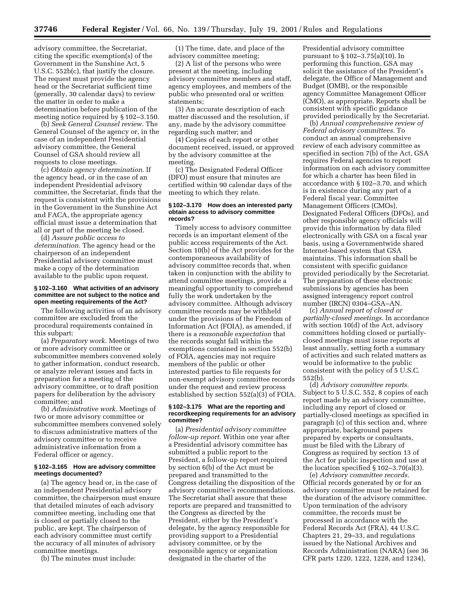advisory committee, the Secretariat, citing the specific exemption(s) of the Government in the Sunshine Act, 5 U.S.C. 552b(c), that justify the closure. The request must provide the agency head or the Secretariat sufficient time (generally, 30 calendar days) to review the matter in order to make a determination before publication of the meeting notice required by § 102–3.150.

(b) *Seek General Counsel review.* The General Counsel of the agency or, in the case of an independent Presidential advisory committee, the General Counsel of GSA should review all requests to close meetings.

(c) *Obtain agency determination.* If the agency head, or in the case of an independent Presidential advisory committee, the Secretariat, finds that the request is consistent with the provisions in the Government in the Sunshine Act and FACA, the appropriate agency official must issue a determination that all or part of the meeting be closed.

(d) *Assure public access to determination.* The agency head or the chairperson of an independent Presidential advisory committee must make a copy of the determination available to the public upon request.

#### **§ 102–3.160 What activities of an advisory committee are not subject to the notice and open meeting requirements of the Act?**

The following activities of an advisory committee are excluded from the procedural requirements contained in this subpart:

(a) *Preparatory work.* Meetings of two or more advisory committee or subcommittee members convened solely to gather information, conduct research, or analyze relevant issues and facts in preparation for a meeting of the advisory committee, or to draft position papers for deliberation by the advisory committee; and

(b) *Administrative work.* Meetings of two or more advisory committee or subcommittee members convened solely to discuss administrative matters of the advisory committee or to receive administrative information from a Federal officer or agency.

#### **§ 102–3.165 How are advisory committee meetings documented?**

(a) The agency head or, in the case of an independent Presidential advisory committee, the chairperson must ensure that detailed minutes of each advisory committee meeting, including one that is closed or partially closed to the public, are kept. The chairperson of each advisory committee must certify the accuracy of all minutes of advisory committee meetings.

(b) The minutes must include:

(1) The time, date, and place of the advisory committee meeting;

(2) A list of the persons who were present at the meeting, including advisory committee members and staff, agency employees, and members of the public who presented oral or written statements;

(3) An accurate description of each matter discussed and the resolution, if any, made by the advisory committee regarding such matter; and

(4) Copies of each report or other document received, issued, or approved by the advisory committee at the meeting.

(c) The Designated Federal Officer (DFO) must ensure that minutes are certified within 90 calendar days of the meeting to which they relate.

#### **§ 102–3.170 How does an interested party obtain access to advisory committee records?**

Timely access to advisory committee records is an important element of the public access requirements of the Act. Section 10(b) of the Act provides for the contemporaneous availability of advisory committee records that, when taken in conjunction with the ability to attend committee meetings, provide a meaningful opportunity to comprehend fully the work undertaken by the advisory committee. Although advisory committee records may be withheld under the provisions of the Freedom of Information Act (FOIA), as amended, if there is a *reasonable expectation* that the records sought fall within the exemptions contained in section 552(b) of FOIA, agencies may not require members of the public or other interested parties to file requests for non-exempt advisory committee records under the request and review process established by section 552(a)(3) of FOIA.

#### **§ 102–3.175 What are the reporting and recordkeeping requirements for an advisory committee?**

(a) *Presidential advisory committee follow-up report.* Within one year after a Presidential advisory committee has submitted a public report to the President, a follow-up report required by section 6(b) of the Act must be prepared and transmitted to the Congress detailing the disposition of the advisory committee's recommendations. The Secretariat shall assure that these reports are prepared and transmitted to the Congress as directed by the President, either by the President's delegate, by the agency responsible for providing support to a Presidential advisory committee, or by the responsible agency or organization designated in the charter of the

Presidential advisory committee pursuant to § 102–3.75(a)(10). In performing this function, GSA may solicit the assistance of the President's delegate, the Office of Management and Budget (OMB), or the responsible agency Committee Management Officer (CMO), as appropriate. Reports shall be consistent with specific guidance provided periodically by the Secretariat.

(b) *Annual comprehensive review of Federal advisory committees.* To conduct an annual comprehensive review of each advisory committee as specified in section 7(b) of the Act, GSA requires Federal agencies to report information on each advisory committee for which a charter has been filed in accordance with § 102–3.70, and which is in existence during any part of a Federal fiscal year. Committee Management Officers (CMOs), Designated Federal Officers (DFOs), and other responsible agency officials will provide this information by data filed electronically with GSA on a fiscal year basis, using a Governmentwide shared Internet-based system that GSA maintains. This information shall be consistent with specific guidance provided periodically by the Secretariat. The preparation of these electronic submissions by agencies has been assigned interagency report control number (IRCN) 0304–GSA–AN.

(c) *Annual report of closed or partially-closed meetings.* In accordance with section 10(d) of the Act, advisory committees holding closed or partiallyclosed meetings must issue reports at least annually, setting forth a summary of activities and such related matters as would be informative to the public consistent with the policy of 5 U.S.C. 552(b).

(d) *Advisory committee reports.* Subject to 5 U.S.C. 552, 8 copies of each report made by an advisory committee, including any report of closed or partially-closed meetings as specified in paragraph (c) of this section and, where appropriate, background papers prepared by experts or consultants, must be filed with the Library of Congress as required by section 13 of the Act for public inspection and use at the location specified  $\S 102-3.70(a)(3)$ .

(e) *Advisory committee records.* Official records generated by or for an advisory committee must be retained for the duration of the advisory committee. Upon termination of the advisory committee, the records must be processed in accordance with the Federal Records Act (FRA), 44 U.S.C. Chapters 21, 29–33, and regulations issued by the National Archives and Records Administration (NARA) (see 36 CFR parts 1220, 1222, 1228, and 1234),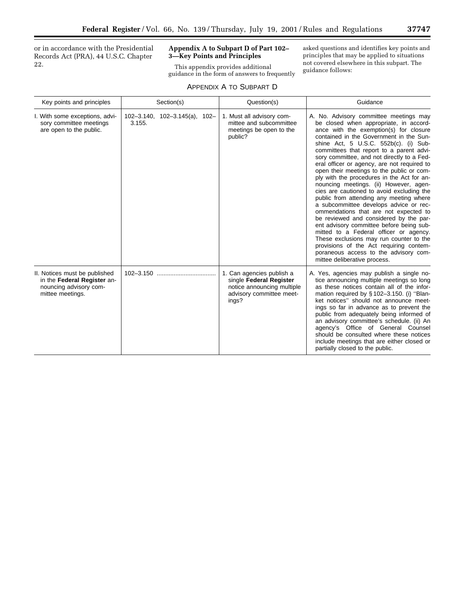or in accordance with the Presidential Records Act (PRA), 44 U.S.C. Chapter 22.

## **Appendix A to Subpart D of Part 102– 3—Key Points and Principles**

This appendix provides additional guidance in the form of answers to frequently

asked questions and identifies key points and principles that may be applied to situations not covered elsewhere in this subpart. The guidance follows:

| <b>APPENDIX A TO SUBPART D</b> |
|--------------------------------|
|--------------------------------|

| Key points and principles                                                                                  | Section(s)                                           | Question(s)                                                                                                             | Guidance                                                                                                                                                                                                                                                                                                                                                                                                                                                                                                                                                                                                                                                                                                                                                                                                                                                                                                                                                               |
|------------------------------------------------------------------------------------------------------------|------------------------------------------------------|-------------------------------------------------------------------------------------------------------------------------|------------------------------------------------------------------------------------------------------------------------------------------------------------------------------------------------------------------------------------------------------------------------------------------------------------------------------------------------------------------------------------------------------------------------------------------------------------------------------------------------------------------------------------------------------------------------------------------------------------------------------------------------------------------------------------------------------------------------------------------------------------------------------------------------------------------------------------------------------------------------------------------------------------------------------------------------------------------------|
| I. With some exceptions, advi-<br>sory committee meetings<br>are open to the public.                       | $102 - 3.140$ , $102 - 3.145$ (a), $102 -$<br>3.155. | 1. Must all advisory com-<br>mittee and subcommittee<br>meetings be open to the<br>public?                              | A. No. Advisory committee meetings may<br>be closed when appropriate, in accord-<br>ance with the exemption(s) for closure<br>contained in the Government in the Sun-<br>shine Act, 5 U.S.C. 552b(c). (i) Sub-<br>committees that report to a parent advi-<br>sory committee, and not directly to a Fed-<br>eral officer or agency, are not required to<br>open their meetings to the public or com-<br>ply with the procedures in the Act for an-<br>nouncing meetings. (ii) However, agen-<br>cies are cautioned to avoid excluding the<br>public from attending any meeting where<br>a subcommittee develops advice or rec-<br>ommendations that are not expected to<br>be reviewed and considered by the par-<br>ent advisory committee before being sub-<br>mitted to a Federal officer or agency.<br>These exclusions may run counter to the<br>provisions of the Act requiring contem-<br>poraneous access to the advisory com-<br>mittee deliberative process. |
| II. Notices must be published<br>in the Federal Register an-<br>nouncing advisory com-<br>mittee meetings. |                                                      | 1. Can agencies publish a<br>single Federal Register<br>notice announcing multiple<br>advisory committee meet-<br>ings? | A. Yes, agencies may publish a single no-<br>tice announcing multiple meetings so long<br>as these notices contain all of the infor-<br>mation required by §102-3.150. (i) "Blan-<br>ket notices" should not announce meet-<br>ings so far in advance as to prevent the<br>public from adequately being informed of<br>an advisory committee's schedule. (ii) An<br>agency's Office of General Counsel<br>should be consulted where these notices<br>include meetings that are either closed or<br>partially closed to the public.                                                                                                                                                                                                                                                                                                                                                                                                                                     |

t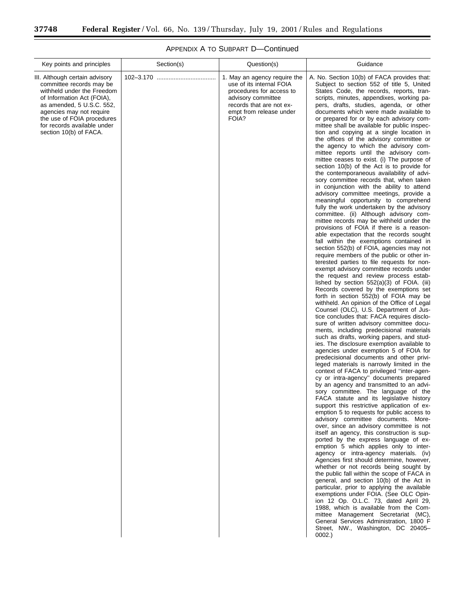$\equiv$ 

t

| Key points and principles                                                                                                                                                                                                                                              | Section(s) | Question(s)                                                                                                                                                                | Guidance                                                                                                                                                                                                                                                                                                                                                                                                                                                                                                                                                                                                                                                                                                                                                                                                                                                                                                                                                                                                                                                                                                                                                                                                                                                                                                                                                                                                                                                                                                                                                                                                                                                                                                                                                                                                                                                                                                                                                                                                                                                                                                                                                                                                                                                                                                                                                                                                                                                                                                                                                                                                                                                                                                                                                                                                                                                                                                                                                                                                                                             |
|------------------------------------------------------------------------------------------------------------------------------------------------------------------------------------------------------------------------------------------------------------------------|------------|----------------------------------------------------------------------------------------------------------------------------------------------------------------------------|------------------------------------------------------------------------------------------------------------------------------------------------------------------------------------------------------------------------------------------------------------------------------------------------------------------------------------------------------------------------------------------------------------------------------------------------------------------------------------------------------------------------------------------------------------------------------------------------------------------------------------------------------------------------------------------------------------------------------------------------------------------------------------------------------------------------------------------------------------------------------------------------------------------------------------------------------------------------------------------------------------------------------------------------------------------------------------------------------------------------------------------------------------------------------------------------------------------------------------------------------------------------------------------------------------------------------------------------------------------------------------------------------------------------------------------------------------------------------------------------------------------------------------------------------------------------------------------------------------------------------------------------------------------------------------------------------------------------------------------------------------------------------------------------------------------------------------------------------------------------------------------------------------------------------------------------------------------------------------------------------------------------------------------------------------------------------------------------------------------------------------------------------------------------------------------------------------------------------------------------------------------------------------------------------------------------------------------------------------------------------------------------------------------------------------------------------------------------------------------------------------------------------------------------------------------------------------------------------------------------------------------------------------------------------------------------------------------------------------------------------------------------------------------------------------------------------------------------------------------------------------------------------------------------------------------------------------------------------------------------------------------------------------------------------|
| III. Although certain advisory<br>committee records may be<br>withheld under the Freedom<br>of Information Act (FOIA),<br>as amended, 5 U.S.C. 552,<br>agencies may not require<br>the use of FOIA procedures<br>for records available under<br>section 10(b) of FACA. |            | 1. May an agency require the<br>use of its internal FOIA<br>procedures for access to<br>advisory committee<br>records that are not ex-<br>empt from release under<br>FOIA? | A. No. Section 10(b) of FACA provides that:<br>Subject to section 552 of title 5, United<br>States Code, the records, reports, tran-<br>scripts, minutes, appendixes, working pa-<br>pers, drafts, studies, agenda, or other<br>documents which were made available to<br>or prepared for or by each advisory com-<br>mittee shall be available for public inspec-<br>tion and copying at a single location in<br>the offices of the advisory committee or<br>the agency to which the advisory com-<br>mittee reports until the advisory com-<br>mittee ceases to exist. (i) The purpose of<br>section 10(b) of the Act is to provide for<br>the contemporaneous availability of advi-<br>sory committee records that, when taken<br>in conjunction with the ability to attend<br>advisory committee meetings, provide a<br>meaningful opportunity to comprehend<br>fully the work undertaken by the advisory<br>committee. (ii) Although advisory com-<br>mittee records may be withheld under the<br>provisions of FOIA if there is a reason-<br>able expectation that the records sought<br>fall within the exemptions contained in<br>section 552(b) of FOIA, agencies may not<br>require members of the public or other in-<br>terested parties to file requests for non-<br>exempt advisory committee records under<br>the request and review process estab-<br>lished by section $552(a)(3)$ of FOIA. (iii)<br>Records covered by the exemptions set<br>forth in section 552(b) of FOIA may be<br>withheld. An opinion of the Office of Legal<br>Counsel (OLC), U.S. Department of Jus-<br>tice concludes that: FACA requires disclo-<br>sure of written advisory committee docu-<br>ments, including predecisional materials<br>such as drafts, working papers, and stud-<br>ies. The disclosure exemption available to<br>agencies under exemption 5 of FOIA for<br>predecisional documents and other privi-<br>leged materials is narrowly limited in the<br>context of FACA to privileged "inter-agen-<br>cy or intra-agency" documents prepared<br>by an agency and transmitted to an advi-<br>sory committee. The language of the<br>FACA statute and its legislative history<br>support this restrictive application of ex-<br>emption 5 to requests for public access to<br>advisory committee documents. More-<br>over, since an advisory committee is not<br>itself an agency, this construction is sup-<br>ported by the express language of ex-<br>emption 5 which applies only to inter-<br>agency or intra-agency materials. (iv)<br>Agencies first should determine, however,<br>whether or not records being sought by<br>the public fall within the scope of FACA in<br>general, and section 10(b) of the Act in<br>particular, prior to applying the available<br>exemptions under FOIA. (See OLC Opin-<br>ion 12 Op. O.L.C. 73, dated April 29,<br>1988, which is available from the Com-<br>mittee Management Secretariat (MC),<br>General Services Administration, 1800 F<br>Street, NW., Washington, DC 20405-<br>0002. |

# APPENDIX A TO SUBPART D—Continued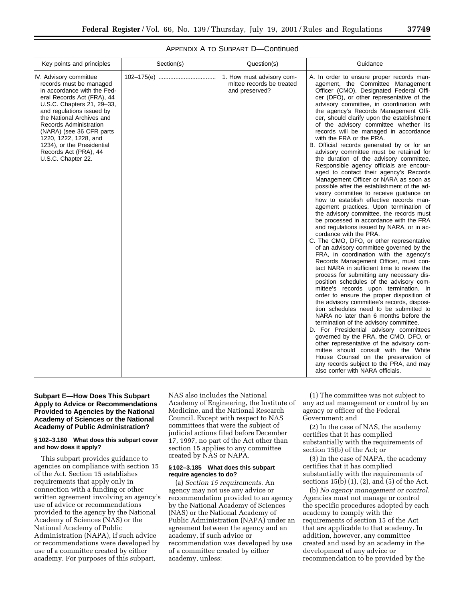| Key points and principles                                                                                                                                                                                                                                                                                                                                           | Section(s) | Question(s)                                                              | Guidance                                                                                                                                                                                                                                                                                                                                                                                                                                                                                                                                                                                                                                                                                                                                                                                                                                                                                                                                                                                                                                                                                                                                                                                                                                                                                                                                                                                                                                                                                                                                                                                                                                                                                                                                                                                                                                                                                                                   |
|---------------------------------------------------------------------------------------------------------------------------------------------------------------------------------------------------------------------------------------------------------------------------------------------------------------------------------------------------------------------|------------|--------------------------------------------------------------------------|----------------------------------------------------------------------------------------------------------------------------------------------------------------------------------------------------------------------------------------------------------------------------------------------------------------------------------------------------------------------------------------------------------------------------------------------------------------------------------------------------------------------------------------------------------------------------------------------------------------------------------------------------------------------------------------------------------------------------------------------------------------------------------------------------------------------------------------------------------------------------------------------------------------------------------------------------------------------------------------------------------------------------------------------------------------------------------------------------------------------------------------------------------------------------------------------------------------------------------------------------------------------------------------------------------------------------------------------------------------------------------------------------------------------------------------------------------------------------------------------------------------------------------------------------------------------------------------------------------------------------------------------------------------------------------------------------------------------------------------------------------------------------------------------------------------------------------------------------------------------------------------------------------------------------|
| IV. Advisory committee<br>records must be managed<br>in accordance with the Fed-<br>eral Records Act (FRA), 44<br>U.S.C. Chapters 21, 29-33,<br>and regulations issued by<br>the National Archives and<br>Records Administration<br>(NARA) (see 36 CFR parts)<br>1220, 1222, 1228, and<br>1234), or the Presidential<br>Records Act (PRA), 44<br>U.S.C. Chapter 22. |            | 1. How must advisory com-<br>mittee records be treated<br>and preserved? | A. In order to ensure proper records man-<br>agement, the Committee Management<br>Officer (CMO), Designated Federal Offi-<br>cer (DFO), or other representative of the<br>advisory committee, in coordination with<br>the agency's Records Management Offi-<br>cer, should clarify upon the establishment<br>of the advisory committee whether its<br>records will be managed in accordance<br>with the FRA or the PRA.<br>B. Official records generated by or for an<br>advisory committee must be retained for<br>the duration of the advisory committee.<br>Responsible agency officials are encour-<br>aged to contact their agency's Records<br>Management Officer or NARA as soon as<br>possible after the establishment of the ad-<br>visory committee to receive guidance on<br>how to establish effective records man-<br>agement practices. Upon termination of<br>the advisory committee, the records must<br>be processed in accordance with the FRA<br>and regulations issued by NARA, or in ac-<br>cordance with the PRA.<br>C. The CMO, DFO, or other representative<br>of an advisory committee governed by the<br>FRA, in coordination with the agency's<br>Records Management Officer, must con-<br>tact NARA in sufficient time to review the<br>process for submitting any necessary dis-<br>position schedules of the advisory com-<br>mittee's records upon termination. In<br>order to ensure the proper disposition of<br>the advisory committee's records, disposi-<br>tion schedules need to be submitted to<br>NARA no later than 6 months before the<br>termination of the advisory committee.<br>D. For Presidential advisory committees<br>governed by the PRA, the CMO, DFO, or<br>other representative of the advisory com-<br>mittee should consult with the White<br>House Counsel on the preservation of<br>any records subject to the PRA, and may<br>also confer with NARA officials. |

#### APPENDIX A TO SUBPART D—Continued

#### **Subpart E—How Does This Subpart Apply to Advice or Recommendations Provided to Agencies by the National Academy of Sciences or the National Academy of Public Administration?**

#### **§ 102–3.180 What does this subpart cover and how does it apply?**

This subpart provides guidance to agencies on compliance with section 15 of the Act. Section 15 establishes requirements that apply only in connection with a funding or other written agreement involving an agency's use of advice or recommendations provided to the agency by the National Academy of Sciences (NAS) or the National Academy of Public Administration (NAPA), if such advice or recommendations were developed by use of a committee created by either academy. For purposes of this subpart,

NAS also includes the National Academy of Engineering, the Institute of Medicine, and the National Research Council. Except with respect to NAS committees that were the subject of judicial actions filed before December 17, 1997, no part of the Act other than section 15 applies to any committee created by NAS or NAPA.

#### **§ 102–3.185 What does this subpart require agencies to do?**

(a) *Section 15 requirements.* An agency may not use any advice or recommendation provided to an agency by the National Academy of Sciences (NAS) or the National Academy of Public Administration (NAPA) under an agreement between the agency and an academy, if such advice or recommendation was developed by use of a committee created by either academy, unless:

(1) The committee was not subject to any actual management or control by an agency or officer of the Federal Government; and

(2) In the case of NAS, the academy certifies that it has complied substantially with the requirements of section 15(b) of the Act; or

(3) In the case of NAPA, the academy certifies that it has complied substantially with the requirements of sections 15(b) (1), (2), and (5) of the Act.

(b) *No agency management or control.* Agencies must not manage or control the specific procedures adopted by each academy to comply with the requirements of section 15 of the Act that are applicable to that academy. In addition, however, any committee created and used by an academy in the development of any advice or recommendation to be provided by the